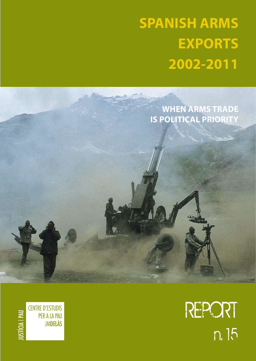# **SPANISH ARMS EXPORTS 2002-2011**

**When arms trade is political priority**

> REPORT n. 15

**CENTRE D'ESTUDIS** PER A LA PAU **JMDELÀS** 

USTÍCIA I PAU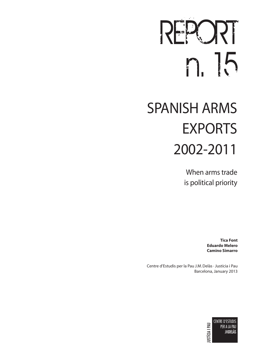# $R$ n. 15

# SPANISH ARMS EXPORTS 2002-2011

When arms trade is political priority

> **Tica Font Eduardo Melero Camino Simarro**

Centre d'Estudis per la Pau J.M. Delàs · Justícia i Pau Barcelona, January 2013

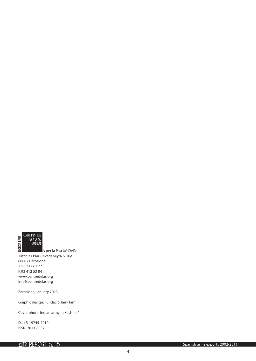

Justícia i Pau · Rivadeneyra 6, 10è 08002 Barcelona T. 93 317 61 77 F. 93 412 53 84 www.centredelas.org info@centredelas.org

Barcelona, January 2013

Graphic design: Fundació Tam-Tam

Cover photo: Indian army in Kashmir"

D.L.: B-19745-2010 ISSN: 2013-8032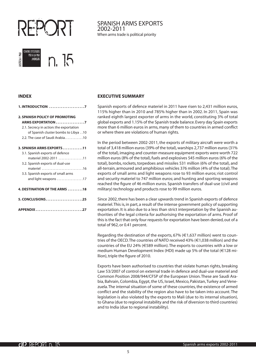

#### **INDEX**

**USTÍCIA I PAU** 

ENTRE D'ESTUDIS

PER A LA PAU<br>JMDELÀS

|--|--|

n. 15

#### **[2. SPANISH POLICY OF PROMOTING](#page-6-0)  ARMS EXPORTATION . . . . . . . . . . . . . . . 7**

| 2.1. Secrecy in action: the exportation |
|-----------------------------------------|
| of Spanish cluster bombs to Libya 10    |
| 2.2. The case of Saudi Arabia10         |
|                                         |
| 3. SPANISH ARMS EXPORTS 11              |
| 3.1. Spanish exports of defence         |
| materiel 2002-2011 11                   |

materiel ................................16

and light weapons ..................17

**4. DESTINATION OF THE ARMS . . . . . . . . . 18** 

**[5. CONCLUSIONS . 25](#page-24-0)**

**APPENDIX [. 27](#page-24-0)**

[3.2. Spanish exports of dual-use](#page-15-0) 

[3.3. Spanish exports of small arms](#page-16-0) 

#### **EXECUTIVE SUMMARY**

Spanish exports of defence materiel in 2011 have risen to 2,431 million euros, 115% higher than in 2010 and 785% higher than in 2002. In 2011, Spain was ranked eighth largest exporter of arms in the world, constituting 3% of total global exports and 1.15% of the Spanish trade balance. Every day Spain exports more than 6 million euros in arms, many of them to countries in armed conflict or where there are violations of human rights.

In the period between 2002-2011, the exports of military aircraft were worth a total of 3,418 million euros (39% of the total), warships 2,737 million euros (31% of the total), imaging and counter-measure equipment exports were worth 722 million euros (8% of the total), fuels and explosives 545 million euros (6% of the total), bombs, rockets, torpedoes and missiles 531 million (6% of the total), and all-terrain, armoured and amphibious vehicles 376 million (4% of the total). The exports of small arms and light weapons rose to 93 million euros; riot control and security materiel to 747 million euros; and hunting and sporting weapons reached the figure of 46 million euros. Spanish transfers of dual-use (civil and military) technology and products rose to 99 million euros.

Since 2002, there has been a clear upwards trend in Spanish exports of defence materiel. This is, in part, a result of the intense government policy of supporting exportation. It is also due to a less than strict interpretation by the Spanish authorities of the legal criteria for authorising the exportation of arms. Proof of this is the fact that only four requests for exportation have been denied, out of a total of 962, or 0.41 percent.

Regarding the destination of the exports, 67% ( $\in$ 1,637 million) went to countries of the OECD. The countries of NATO received 43% ( $\in$ 1,038 million) and the countries of the EU 24% (E589 million). The exports to countries with a low or medium Human Development Index (HDI) made up 5% of the total (E128 million), triple the figure of 2010.

Exports have been authorised to countries that violate human rights, breaking Law 53/2007 of control on external trade in defence and dual-use materiel and Common Position 2008/944/CFSP of the European Union. These are Saudi Arabia, Bahrain, Colombia, Egypt, the US, Israel, Mexico, Pakistan, Turkey and Venezuela. The internal situation of some of these countries, the existence of armed conflict and the stability of the region also have to be taken into account. The legislation is also violated by the exports to Mali (due to its internal situation), to Ghana (due to regional instability and the risk of diversion to third countries) and to India (due to regional instability).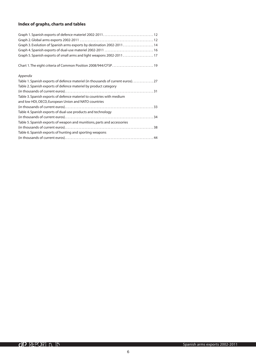#### **Index of graphs, charts and tables**

| Graph 3. Evolution of Spanish arms exports by destination 2002-201114           |
|---------------------------------------------------------------------------------|
|                                                                                 |
| Graph 5. Spanish exports of small arms and light weapons 2002-2011 17           |
|                                                                                 |
| Appendix                                                                        |
| Table 1. Spanish exports of defence materiel (in thousands of current euros) 27 |
| Table 2. Spanish exports of defence materiel by product category                |
|                                                                                 |
| Table 3. Spanish exports of defence materiel to countries with medium           |
| and low HDI, OECD, European Union and NATO countries                            |
|                                                                                 |
| Table 4. Spanish exports of dual-use products and technology                    |
|                                                                                 |
| Table 5. Spanish exports of weapon and munitions, parts and accessories         |
|                                                                                 |
| Table 6. Spanish exports of hunting and sporting weapons                        |
|                                                                                 |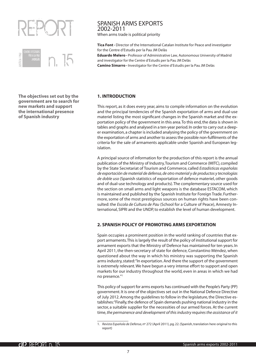<span id="page-6-0"></span>



**The objectives set out by the government are to search for new markets and support the international presence of Spanish industry**

#### SPANISH ARMS EXPORTS 2002-2011

When arms trade is political priority

**Tica Font ·** Director of the International Catalan Institute for Peace and investigator for the Centre d'Estudis per la Pau JM Delàs

**Eduardo Melero** · Professor of Administrative Law, Autonomous University of Madrid and investigator for the Centre d'Estudis per la Pau JM Delàs

**Camino Simarro ·** Investigator for the Centre d'Estudis per la Pau JM Delàs

#### **1. INTRODUCTION**

This report, as it does every year, aims to compile information on the evolution and the principal tendencies of the Spanish exportation of arms and dual-use materiel listing the most significant changes in the Spanish market and the exportation policy of the government in this area. To this end, the data is shown in tables and graphs and analysed in a ten-year period. In order to carry out a deeper examination, a chapter is included analysing the policy of the government on the exportation of arms and another to assess the possible non-fulfilments of the criteria for the sale of armaments applicable under Spanish and European legislation.

A principal source of information for the production of this report is the annual publication of the Ministry of Industry, Tourism and Commerce (MITC), compiled by the State Secretariat of Tourism and Commerce, called *Estadísticas españolas de exportación de material de defensa, de otro material y de productos y tecnologías de doble uso* (Spanish statistics of exportation of defence materiel, other goods and of dual-use technology and products). The complementary source used for the section on small arms and light weapons is the database ESTACOM, which is maintained and published by the Spanish Institute for Foreign Trade. Furthermore, some of the most prestigious sources on human rights have been consulted: the *Escola de Cultura de Pau* (School for a Culture of Peace), Amnesty International, SIPRI and the UNDP, to establish the level of human development.

#### **2. SPANISH POLICY OF PROMOTING ARMS EXPORTATION**

Spain occupies a prominent position in the world ranking of countries that export armaments. This is largely the result of the policy of institutional support for armament exports that the Ministry of Defence has maintained for ten years. In April 2011, the then-secretary of state for defence, Constantino Méndez, when questioned about the way in which his ministry was supporting the Spanish arms industry, stated: "In exportation. And there the support of the government is extremely relevant. We have begun a very intense effort to support and open markets for our industry throughout the world, even in areas in which we had no presence."1

This policy of support for arms exports has continued with the People's Party (PP) government. It is one of the objectives set out in the National Defence Directive of July 2012. Among the guidelines to follow in the legislature, the Directive establishes: "Finally, the defence of Spain demands pushing national industry in the sector, a suitable supplier for the necessities of our armed forces. At the current time, *the permanence and development of this industry requires the assistance of it* 

<sup>1.</sup> *Revista Española de Defensa*, nº 272 (April 2011), pg. 22. (Spanish, translation here original to this report)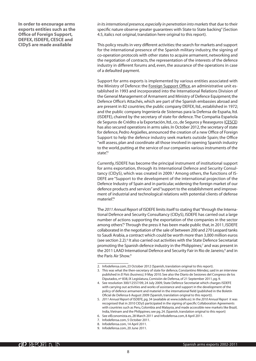**In order to encourage arms exports entities such as the Office of Foreign Support, DEFEX, ISDEFE, CESCE and CIDyS are made available**

*in its international presence, especially in penetration into markets* that due to their specific nature observe greater guarantees with State to State backing" (Section 4.5, italics not original, translation here original to this report).

This policy results in very different activities: the search for markets and support for the international presence of the Spanish military industry, the signing of co-operation protocols with other states to acquire armament, networking and the negotiation of contracts, the representation of the interests of the defence industry in different forums and, even, the assurance of the operations in case of a defaulted payment.

Support for arms exports is implemented by various entities associated with the Ministry of Defence: the Foreign Support Office, an administrative unit established in 1993 and incorporated into the International Relations Division of the General Management of Armament and Ministry of Defence Equipment; the Defence Office's Attachés, which are part of the Spanish embassies abroad and are present in 82 countries; the public company DEFEX, ltd., established in 1972; and the public company Ingeniería de Sistemas para la Defensa de España, ltd. (ISDEFE), chaired by the secretary of state for defence. The Compañia Española de Seguros de Crédito a la Exportación, ltd., co., de Seguros y Reaseguros (CESCE) has also secured operations in arms sales. In October 2012, the secretary of state for defence, Pedro Argüelles, announced the creation of a new Office of Foreign Support to help the defence industry seek markets outside Spain; the Office "will assess, plan and coordinate all those involved in opening Spanish industry to the world, putting at the service of our companies various instruments of the state".

Currently, ISDEFE has become the principal instrument of institutional support for arms exportation, through its International Defence and Security Consultancy (CIDyS), which was created in 2009.<sup>3</sup> Among others, the functions of IS-DEFE are "Support to the development of the international projection of the Defence Industry of Spain and in particular, widening the foreign market of our defence products and services" and "support to the establishment and improvement of industrial and technological relations with potential clients of defense materiel<sup>"4</sup>

The *2011 Annual Report* of ISDEFE limits itself to stating that "through the International Defence and Security Consultancy (CIDyS), ISDEFE has carried out a large number of actions supporting the exportation of the companies in the sector among others<sup>"</sup>. Through the press it has been made public that, in 2011, ISDEFE collaborated in the negotiation of the sale of between 200 and 270 Leopard tanks to Saudi Arabia, a contract which could be worth more than 3,000 million euros (see section 2.2).<sup>6</sup> It also carried out activities with the State Defence Secretariat promoting the Spanish defence industry in the Philippines;<sup>7</sup> and was present in the 2011 LAAD International Defence and Security Fair in Rio de Janeiro,<sup>8</sup> and in the Paris Air Show.<sup>9</sup>

- 4. See resolution 300/12557/09, 24 July 2009, State Defence Secretariat which charges ISDEFE with carrying out activities and works of assistance and support in the development of the policy of defence armament and materiel in the international field (published in the Boletín Oficial de Defensa 6 August 2009 (Spanish, translation original to this report)).
- 5. *2011 Annual Report* of ISDEFE, pg. 34 (available at www.isdefe.es). In the *2010 Annual Report* it was recognised that in 2010 CIDyS participated in the signing of specific Collaboration Agreements with countries such as Peru, Colombia and Malaysia, and made accessible new markets like Brazil, India, Vietnam and the Philippines; see pg. 24. (Spanish, translation original to this report)
- 6. See elEconomista.es, 28 March 2011 and Infodefensa.com, 8 April 2011.
- 7. Infodefensa.com, 5 October 2011.
- 8. Infodefensa.com, 14 April 2011.
- 9. Infodefensa.com, 20 June 2011.

<sup>2.</sup> Infodefensa.com, 23 October 2012 (Spanish, translation original to this report).

<sup>3.</sup> This was what the then-secretary of state for defence, Constantino Méndez, said in an interview published in *El País (business)*, 9 May 2010. See also the Diario de Sesiones del Congreso de los Diputados, nº 838, IX Legislatura, Comisión de Defensa, of 21 September 2011, pg. 9.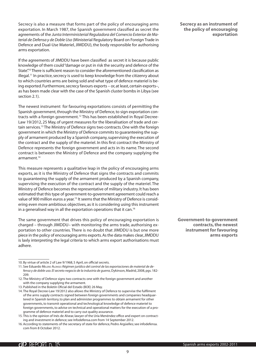Secrecy is also a measure that forms part of the policy of encouraging arms exportation. In March 1987, the Spanish government classified as secret the agreements of the *Junta Interministerial Reguladora del Comercio Exterior de Material de Defensa y de Doble Uso* (Ministerial Regulatory Board on Foreign Trade in Defence and Dual-Use Materiel, JIMDDU), the body responsible for authorising arms exportation.

If the agreements of JIMDDU have been classified as secret it is because public knowledge of them could "damage or put in risk the security and defence of the State".<sup>10</sup> There is sufficient reason to consider the aforementioned classification as illegal.11 In practice, secrecy is used to keep knowledge from the citizenry about to which countries arms are being sold and what type of defence materiel is being exported. Furthermore, secrecy favours exports – or, at least, certain exports–, as has been made clear with the case of the Spanish cluster bombs in Libya (see section 2.1).

The newest instrument for favouring exportations consists of permitting the Spanish government, through the Ministry of Defence, to sign exportation contracts with a foreign government.12 This has been established in Royal Decree-Law 19/2012, 25 May, of urgent measures for the liberalisation of trade and certain services.13 The Ministry of Defence signs two contracts. One with the foreign government in which the Ministry of Defence commits to guaranteeing the supply of armament produced by a Spanish company, supervising the execution of the contract and the supply of the materiel. In this first contract the Ministry of Defence represents the foreign government and acts in its name. The second contract is between the Ministry of Defence and the company supplying the armament<sup>14</sup>

This measure represents a qualitative leap in the policy of encouraging arms exports, as it is the Ministry of Defence that signs the contracts and commits to guaranteeing the supply of the armament produced by a Spanish company, supervising the execution of the contract and the supply of the materiel. The Ministry of Defence becomes the representative of military industry. It has been estimated that this type of government-to-government agreement could reach a value of 900 million euros a year.<sup>15</sup> It seems that the Ministry of Defence is considering even more ambitious objectives, as it is considering using this instrument in a generalised way in all the exportation operations that it can.<sup>16</sup>

The same government that drives this policy of encouraging exportation is charged – through JIMDDU– with monitoring the arms trade, authorising exportation to other countries. There is no doubt that JIMDDU is but one more piece in the policy of encouraging arms exports. As the data makes clear, JIMDDU is laxly interpreting the legal criteria to which arms export authorisations must adhere.

**Secrecy as an instrument of the policy of encouraging exportation**

**Government-to-government contracts, the newest instrument for favouring arms exports**

<sup>10.</sup> By virtue of article 2 of Law 9/1968, 5 April, on official secrets.

<sup>11.</sup> See Eduardo Melero Alonso: *Régimen jurídico del control de las exportaciones de material de defensa y de doble uso. El secreto negocio de la industria de guerra*, Dykinson, Madrid, 2008, pgs. 182- 209.

<sup>12.</sup> The Ministry of Defence signs two contracts: one with the foreign government and another with the company supplying the armament.

<sup>13.</sup> Published in the Boletín Oficial del Estado (BOE) 26 May.

<sup>14.</sup> The Royal Decree-Law 19/2012 also allows the Ministry of Defence to supervise the fulfilment of the arms supply contracts signed between foreign governments and companies headquartered in Spanish territory, to plan and administer programmes to obtain armament for other governments, to transmit operational and technological knowledge of defence materiel to foreign governments, to advise on technical and operational matters for the execution of a programme of defence materiel and to carry out quality assurance.

<sup>15.</sup> This is the opinion of Inés de Alvear, lawyer of the Uría Menéndez office and expert on contracting and investment in defence; see Infodefensa.com from 14 September 2012.

<sup>16.</sup> According to statements of the secretary of state for defence, Pedro Argüelles; see infodefensa. com from 8 October 2012.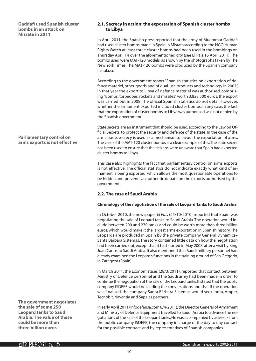<span id="page-9-0"></span>**Gaddafi used Spanish cluster bombs in an attack on Misrata in 2011**

#### **Parliamentary control on arms exports is not effective**

**The government negotiates the sale of some 250 Leopard tanks to Saudi Arabia. The value of these could be more than three billion euros**

#### **2.1. Secrecy in action: the exportation of Spanish cluster bombs to Libya**

In April 2011, the Spanish press reported that the army of Muammar Gaddafi had used cluster bombs made in Spain in Misrata; according to the NGO Human Rights Watch at least three cluster bombs had been used in the bombings on Thursday April 14 over the aforementioned city (see El País 16 April 2011). The bombs used were MAT-120 models, as shown by the photographs taken by The New York Times. The MAT-120 bombs were produced by the Spanish company Instalaza.

According to the government report "Spanish statistics on exportation of defence materiel, other goods and of dual-use products and technology in 2007", in that year the export to Libya of defence materiel was authorised, comprising "Bombs, torpedoes, rockets and missiles" worth 3,823,500 euros; the export was carried out in 2008. The official Spanish statistics do not detail, however, whether the armament exported included cluster bombs. In any case, the fact that the exportation of cluster bombs to Libya was authorised was not denied by the Spanish government.

State secrets are an instrument that should be used, according to the Law on Official Secrets, to protect the security and defence of the state. In the case of the arms trade, secrecy is used as a mechanism to favour the exportation of arms. The case of the MAT-120 cluster bombs is a clear example of this. The state secret has been used to ensure that the citizens were unaware that Spain had exported cluster bombs to Libya.

This case also highlights the fact that parliamentary control on arms exports is not effective. The official statistics do not indicate exactly what kind of armament is being exported, which allows the most questionable operations to be hidden and prevents an authentic debate on the exports authorised by the government.

#### **2.2. The case of Saudi Arabia**

#### **Chronology of the negotiation of the sale of Leopard Tanks to Saudi Arabia**

In October 2010, the newspaper *El País* (25/10/2010) reported that Spain was negotiating the sale of Leopard tanks to Saudi Arabia. The operation would include between 200 and 270 tanks and could be worth more than three billion euros, which would make it the largest arms exportation in Spanish history. The Leopards are produced in Spain by the private company General Dynamics– Santa Bárbara Sistemas. The story contained little data on how the negotiation had been carried out, except that it had started in May 2008, after a visit by King Juan Carlos to Saudi Arabia. It also mentioned that Saudi military personnel had already examined the Leopard's functions in the training ground of San Gregorio, in Zaragoza (Spain).

In March 2011, the Economista.es (28/3/2011), reported that contact between Ministry of Defence personnel and the Saudi army had been made in order to continue the negotiation of the sale of the Leopard tanks. It stated that the public company ISDEFE would be leading the conversations and that if the operation was finalised, the company Santa Bárbara Sistemas would seek Indra, Amper, Tecnobit, Navantia and Sapa as partners.

In early April 2011 (Infodefensa.com 8/4/2011), the Director General of Armament and Ministry of Defence Equipment travelled to Saudi Arabia to advance the negotiations of the sale of the Leopard tanks. He was accompanied by advisers from the public company ISDEFE, the company in charge of the day to day contact for the possible contract, and by representatives of Spanish companies.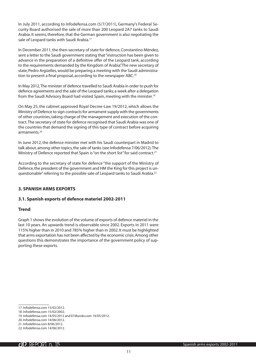<span id="page-10-0"></span>In July 2011, according to Infodefensa.com (5/7/2011), Germany's Federal Security Board authorised the sale of more than 200 Leopard 2A7 tanks to Saudi Arabia. It seems, therefore, that the German government is also negotiating the sale of Leopard tanks with Saudi Arabia.<sup>17</sup>

In December 2011, the then-secretary of state for defence, Constantino Méndez, sent a letter to the Saudi government stating that "instruction has been given to advance in the preparation of a definitive offer of the Leopard tank, according to the requirements demanded by the Kingdom of Arabia". The new secretary of state, Pedro Argüelles, would be preparing a meeting with the Saudi administration to present a final proposal, according to the newspaper ABC.<sup>18</sup>

In May 2012, The minister of defence travelled to Saudi Arabia in order to push for defence agreements and the sale of the Leopard tanks; a week after a delegation from the Saudi Advisory Board had visited Spain, meeting with the minister.19

On May 25, the cabinet approved Royal Decree-Law 19/2012, which allows the Ministry of Defence to sign contracts for armament supply with the governments of other countries, taking charge of the management and execution of the contract. The secretary of state for defence recognised that Saudi Arabia was one of the countries that demand the signing of this type of contract before acquiring armaments.20

In June 2012, the defence minister met with his Saudi counterpart in Madrid to talk about, among other topics, the sale of tanks (see Infodefensa 7/06/2012). The Ministry of Defence reported that Spain is "on the short list" for said contract.<sup>21</sup>

According to the secretary of state for defence "the support of the Ministry of Defence, the president of the government and HM the King for this project is unquestionable" referring to the possible sale of Leopard tanks to Saudi Arabia.22

#### **3. SPANISH ARMS EXPORTS**

#### **3.1. Spanish exports of defence materiel 2002-2011**

#### **Trend**

Graph 1 shows the evolution of the volume of exports of defence materiel in the last 10 years. An upwards trend is observable since 2002. Exports in 2011 were 115% higher than in 2010 and 785% higher than in 2002. It must be highlighted that arms exportation has not been affected by the economic crisis. Among other questions this demonstrates the importance of the government policy of supporting these exports.

<sup>17.</sup> Infodefensa.com 15/02/2012.

<sup>18.</sup> Infodefensa.com 15/02/2002.

<sup>19.</sup> Infodefensa.com 14/05/2012 and El Mundo.com 14/05/2012.

<sup>20.</sup> Infodefensa.com 14/06/2012.

<sup>21.</sup> Infodefensa.com 8/06/2012.

<sup>22.</sup> Infodefensa.com 14/06/2012.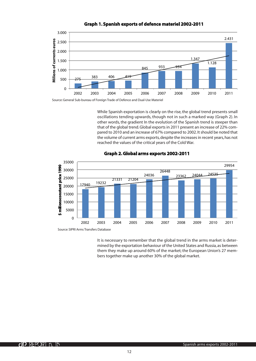

**Graph 1. Spanish exports of defence materiel 2002-2011**

Source: General Sub-bureau of Foreign Trade of Defence and Dual-Use Materiel

While Spanish exportation is clearly on the rise, the global trend presents small oscillations tending upwards, though not in such a marked way (Graph 2). In other words, the gradient In the evolution of the Spanish trend is steeper than that of the global trend. Global exports in 2011 present an increase of 22% compared to 2010 and an increase of 67% compared to 2002. It should be noted that the volume of current arms exports, despite the increases in recent years, has not reached the values of the critical years of the Cold War.



#### **Graph 2.Global arms exports 2002-2011**

Source: SIPRI Arms Transfers Database

It is necessary to remember that the global trend in the arms market is determined by the exportation behaviour of the United States and Russia, as between them they make up around 60% of the market; the European Union's 27 members together make up another 30% of the global market.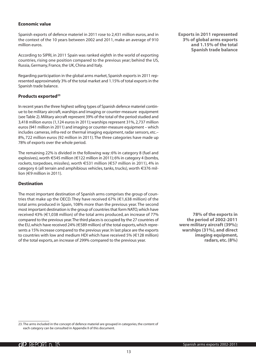#### **Economic value**

Spanish exports of defence materiel in 2011 rose to 2,431 million euros, and in the context of the 10 years between 2002 and 2011, make an average of 910 million euros.

According to SIPRI, in 2011 Spain was ranked eighth in the world of exporting countries, rising one position compared to the previous year; behind the US, Russia, Germany, France, the UK, China and Italy.

Regarding participation in the global arms market, Spanish exports in 2011 represented approximately 3% of the total market and 1.15% of total exports in the Spanish trade balance.

#### **Products exported23**

In recent years the three highest selling types of Spanish defence materiel continue to be military aircraft, warships and imaging or counter-measure equipment (see Table 2). Military aircraft represent 39% of the total of the period studied and 3,418 million euros (1,124 euros in 2011); warships represent 31%, 2,737 million euros (941 million in 2011) and imaging or counter-measure equipment – which includes cameras, infra-red or thermal imaging equipment, radar sensors, etc.– 8%, 722 million euros (92 million in 2011). The three categories have made up 78% of exports over the whole period.

The remaining 22% is divided in the following way: 6% in category 8 (fuel and explosives), worth  $\epsilon$ 545 million ( $\epsilon$ 122 million in 2011); 6% in category 4 (bombs, rockets, torpedoes, missiles), worth E531 million (E57 million in 2011), 4% in category 6 (all terrain and amphibious vehicles, tanks, trucks), worth  $\in$ 376 million (E9 million in 2011).

#### **Destination**

The most important destination of Spanish arms comprises the group of countries that make up the OECD. They have received 67% ( $\in$ 1,638 million) of the total arms produced in Spain, 108% more than the previous year. The second most important destination is the group of countries that form NATO, which have received 43% ( $\in$ 1.038 million) of the total arms produced, an increase of 77% compared to the previous year. The third places is occupied by the 27 countries of the EU, which have received 24% (€589 million) of the total exports, which represents a 15% increase compared to the previous year. In last place are the exports to countries with low and medium HDI which have received 5% ( $\in$ 128 million) of the total exports, an increase of 299% compared to the previous year.

**Exports in 2011 represented 3% of global arms exports and 1.15% of the total Spanish trade balance**

**78% of the exports in the period of 2002-2011 were military aircraft (39%); warships (31%), and direct imaging equipment, radars, etc. (8%)**

<sup>23.</sup> The arms included in the concept of defence materiel are grouped in categories, the content of each category can be consulted in Appendix II of this document.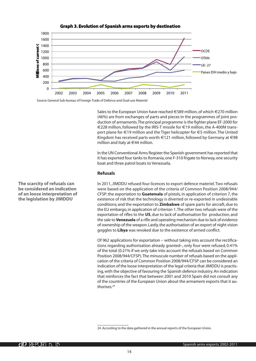

#### **Graph 3. Evolution of Spanish arms exports by destination**

Source: General Sub-bureau of Foreign Trade of Defence and Dual-use Materiel

Sales to the European Union have reached €589 million, of which €270 million (46%) are from exchanges of parts and pieces in the programmes of joint production of armaments. The principal programme is the fighter plane EF-2000 for  $€228$  million, followed by the IRIS-T missile for  $€19$  million, the A-400M transport plane for  $\epsilon$ 19 million and the Tiger helicopter for  $\epsilon$ 5 million. The United Kingdom has received parts worth  $\epsilon$ 121 million, followed by Germany at  $\epsilon$ 98 million and Italy at  $\in$  44 million.

In the UN Conventional Arms Register the Spanish government has reported that it has exported four tanks to Romania, one F-310 frigate to Norway, one security boat and three patrol boats to Venezuela.

#### **Refusals**

In 2011, JIMDDU refused four licences to export defence materiel. Two refusals were based on the application of the criteria of Common Position 2008/944/ CFSP: the exportation to **Guatemala** of pistols, in application of criterion 7, the existence of risk that the technology is diverted or re-exported in undesirable conditions; and the exportation to **Zimbabwe** of spare parts for aircraft, due to the EU embargo, in application of criterion 1. The other two refusals were of the exportation of rifles to the **US**, due to lack of authorisation for production, and the sale to **Venezuela** of a rifle and operating mechanism due to lack of evidence of ownership of the weapon. Lastly, the authorisation of an export of night vision goggles to **Libya** was revoked due to the existence of armed conflict.

Of 962 applications for exportation – without taking into account the rectifications regarding authorisation already granted–, only four were refused, 0.41% of the total (0.21% if we only take into account the refusals based on Common Position 2008/944/CFSP). The minuscule number of refusals based on the application of the criteria of Common Position 2008/944/CFSP can be considered an indication of the loose interpretation of the legal criteria that JIMDDU is practising, with the objective of favouring the Spanish defence industry. An indication that reinforces the fact that between 2001 and 2010 Spain did not consult any of the countries of the European Union about the armament exports that it authorises.24

**The scarcity of refusals can be considered an indication of an loose interpretation of the legislation by JIMDDU**

<sup>24.</sup> According to the data gathered in the annual reports of the European Union.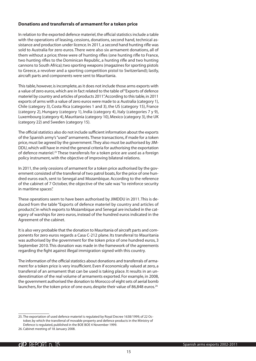#### **Donations and transferrals of armament for a token price**

In relation to the exported defence materiel, the official statistics include a table with the operations of leasing, cessions, donations, second hand, technical assistance and production under licence. In 2011, a second hand hunting rifle was sold to Australia for zero euros. There were also six armament donations, all of them without a price; three were of hunting rifles (one hunting rifle to France, two hunting rifles to the Dominican Republic, a hunting rifle and two hunting cannons to South Africa); two sporting weapons (magazines for sporting pistols to Greece, a revolver and a sporting competition pistol to Switzerland); lastly, aircraft parts and components were sent to Mauritania.

This table, however, is incomplete, as it does not include those arms exports with a value of zero euros, which are in fact related to the table of "Exports of defence materiel by country and articles of products 2011". According to this table, in 2011 exports of arms with a value of zero euros were made to a: Australia (category 1), Chile (category 3), Costa Rica (categories 1 and 3), the US (category 15), France (category 2), Hungary (category 1), India (category 4), Italy (categories 7 y 9), Luxembourg (category 4), Mauritania (category 10), Mexico (category 3), the UK (category 22) and Sweden (category 15).

The official statistics also do not include sufficient information about the exports of the Spanish army's "used" armaments. These transactions, if made for a token price, must be agreed by the government. They also must be authorised by JIM-DDU, which will have in mind the general criteria for authorising the exportation of defence materiel.25 These transferrals for a token price are used as a foreign policy instrument, with the objective of improving bilateral relations.

In 2011, the only cessions of armament for a token price authorised by the government consisted of the transferral of two patrol boats, for the price of one hundred euros each, sent to Senegal and Mozambique. According to the reference of the cabinet of 7 October, the objective of the sale was "to reinforce security in maritime spaces".

These operations seem to have been authorised by JIMDDU in 2011. This is deduced from the table "Exports of defence materiel by country and articles of products", in which exports to Mozambique and Senegal are included in the category of warships for zero euros, instead of the hundred euros indicated in the Agreement of the cabinet.

It is also very probable that the donation to Mauritania of aircraft parts and components for zero euros regards a Casa C-212 plane. Its transferral to Mauritania was authorised by the government for the token price of one hundred euros, 3 September 2010. This donation was made in the framework of the agreements regarding the fight against illegal immigration signed with this country.

The information of the official statistics about donations and transferrals of armament for a token price is very insufficient. Even if economically valued at zero, a transferral of an armament that can be used is taking place. It results in an underestimation of the real volume of armaments exported. For example, in 2008, the government authorised the donation to Morocco of eight sets of aerial bomb launchers, for the token price of one euro, despite their value of 86,848 euros.<sup>26</sup>

<sup>25.</sup> The exportation of used defence materiel is regulated by Royal Decree 1638/1999, of 22 October, by which the transferral of movable property and defence products in the Ministry of Defence is regulated, published in the BOE BOE 4 November 1999.

<sup>26.</sup> Cabinet meeting of 18 January 2008.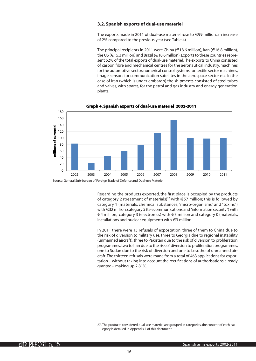#### <span id="page-15-0"></span>**3.2. Spanish exports of dual-use materiel**

The exports made in 2011 of dual-use materiel rose to  $\in$ 99 million, an increase of 2% compared to the previous year (see Table 4).

The principal recipients in 2011 were China ( $\in$ 18.6 million), Iran ( $\in$ 16.8 million), the US ( $\in$ 15.3 million) and Brazil ( $\in$ 10.6 million). Exports to these countries represent 62% of the total exports of dual-use materiel. The exports to China consisted of carbon fibre and mechanical centres for the aeronautical industry, machines for the automotive sector, numerical control systems for textile sector machines, image sensors for communication satellites in the aerospace sector etc. In the case of Iran (which is under embargo) the shipments consisted of steel tubes and valves, with spares, for the petrol and gas industry and energy generation plants.



#### **Graph 4. Spanish exports of dual-use materiel 2002-2011**

Regarding the products exported, the first place is occupied by the products of category 2 (treatment of materials)<sup>27</sup> with  $\epsilon$ 57 million; this is followed by category 1 (materials, chemical substances, "micro-organisms" and "toxins") with €32 million; category 5 (telecommunications and "information security") with  $\in$ 4 million, category 3 (electronics) with  $\in$ 3 million and category 0 (materials, installations and nuclear equipment) with  $\in$ 3 million.

In 2011 there were 13 refusals of exportation, three of them to China due to the risk of diversion to military use, three to Georgia due to regional instability (unmanned aircraft), three to Pakistan due to the risk of diversion to proliferation programmes, two to Iran due to the risk of diversion to proliferation programmes, one to Sudan due to the risk of diversion and one to Lesotho of unmanned aircraft. The thirteen refusals were made from a total of 463 applications for exportation – without taking into account the rectifications of authorisations already granted–, making up 2.81%.

Source: General Sub-bureau of Foreign Trade of Defence and Dual-use Materiel

<sup>27.</sup> The products considered dual-use materiel are grouped in categories, the content of each category is detailed in Appendix II of this document.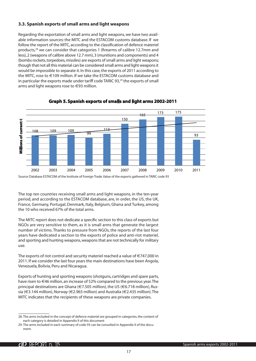#### <span id="page-16-0"></span>**3.3. Spanish exports of small arms and light weapons**

Regarding the exportation of small arms and light weapons, we have two available information sources: the MITC and the ESTACOM customs database. If we follow the report of the MITC, according to the classification of defence materiel products,28 we can consider that categories 1 (firearms of calibre 12.7mm and less), 2 (weapons of calibre above 12.7 mm), 3 (munitions and components) and 4 (bombs rockets, torpedoes, missiles) are exports of small arms and light weapons; though that not all this material can be considered small arms and light weapons it would be impossible to separate it. In this case, the exports of 2011 according to the MITC, rose to  $\in$  109 million. If we take the ESTACOM customs database and in particular the exports made under tariff code TARIC 93,<sup>29</sup> the exports of small arms and light weapons rose to  $\in$ 93 million.



#### **Graph 5. Spanish exports of smalls and light arms 2002-2011**

The top ten countries receiving small arms and light weapons, in the ten-year period, and according to the ESTACOM database, are, in order, the US, the UK, France, Germany, Portugal, Denmark, Italy, Belgium, Ghana and Turkey, among the 10 who received 67% of the total arms.

The MITC report does not dedicate a specific section to this class of exports but NGOs are very sensitive to them, as it is small arms that generate the largest number of victims. Thanks to pressure from NGOs, the reports of the last four years have dedicated a section to the exports of police and anti-riot materiel, and sporting and hunting weapons, weapons that are not technically for military use.

The exports of riot control and security materiel reached a value of  $\in$ 747,000 in 2011. If we consider the last four years the main destinations have been Angola, Venezuela, Bolivia, Peru and Nicaragua.

Exports of hunting and sporting weapons (shotguns, cartridges and spare parts, have risen to  $\in$ 46 million, an increase of 52% compared to the previous vear. The principal destinations are Ghana (€7.505 million), the US (€6.718 million), Russia (€3.144 million), Norway (€2.965 million) and Australia (€2.435 million). The MITC indicates that the recipients of these weapons are private companies.

<sup>28.</sup> The arms included in the concept of defence materiel are grouped in categories, the content of each category is detailed in Appendix II of this document

<sup>29.</sup> The arms included in each summary of code 93 can be consulted in Appendix II of the document.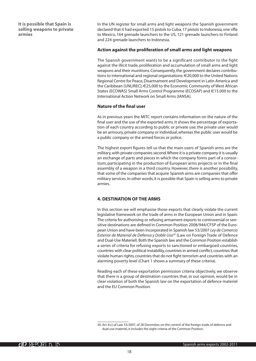<span id="page-17-0"></span>**It is possible that Spain is selling weapons to private armies**

In the UN register for small arms and light weapons the Spanish government declared that it had exported 15 pistols to Cuba, 17 pistols to Indonesia, one rifle to Mexico, 164 grenade launchers to the US, 121 grenade launchers to Finland and 224 grenade launchers to Indonesia.

#### **Action against the proliferation of small arms and light weapons**

The Spanish government wants to be a significant contributor to the fight against the illicit trade, proliferation and accumulation of small arms and light weapons and their munitions. Consequently, the government declares contributions to international and regional organisations: E20,000 to the United Nations Regional Centre for Peace, Disarmament and Development in Latin America and the Caribbean (UNLIREC); €25,000 to the Economic Community of West African States (ECOWAS) Small Arms Control Programme (ECOSAP) and €15.000 to the International Action Network on Small Arms (IANSA).

#### **Nature of the final user**

As in previous years the MITC report contains information on the nature of the final user and the use of the exported arms. It shows the percentage of exportation of each country according to public or private use; the private user would be an armoury, private company or individual, whereas the public user would be a public company or the armed forces or police.

The highest export figures tell us that the main users of Spanish arms are the military, with private companies second. Where it is a private company it is usually an exchange of parts and pieces in which the company forms part of a consortium, participating in the production of European arms projects or in the final assembly of a weapon in a third country. However, there is another possibility, that some of the companies that acquire Spanish arms are companies that offer military services. In other words, it is possible that Spain is selling arms to private armies.

#### **4. DESTINATION OF THE ARMS**

In this section we will emphasise those exports that clearly violate the current legislative framework on the trade of arms in the European Union and in Spain. The criteria for authorising or refusing armament exports to controversial or sensitive destinations are defined in Common Position 2008/944/CFSP of the European Union and have been incorporated in Spanish law 53/2007 *Ley de Comercio Exterior de Material de Defensa y Doble Uso*30 (Law on Foreign Trade of Defence and Dual-Use Materiel). Both the Spanish law and the Common Position establish a series of criteria for refusing exports to sanctioned or embargoed countries, countries with clear political instability, countries in armed conflict, countries that violate human rights, countries that do not fight terrorism and countries with an alarming poverty level (Chart 1 shows a summary of these criteria).

Reading each of these exportation permission criteria objectively, we observe that there is a group of destination countries that, in our opinion, would be in clear violation of both the Spanish law on the exportation of defence materiel and the EU Common Position.

<sup>30.</sup> Art. 8.c) of Law 53/2007, of 28 December, on the control of the foreign trade of defence and dual-use materiel, it includes the eight criteria of the Common Position.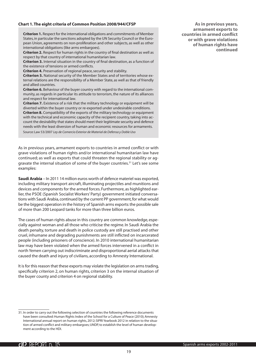#### **Chart 1. The eight criteria of Common Position 2008/944/CFSP**

**Criterion 1.** Respect for the international obligations and commitments of Member States, in particular the sanctions adopted by the UN Security Council or the European Union, agreements on non-proliferation and other subjects, as well as other international obligations (like arms embargoes).

**Criterion 2.** Respect for human rights in the country of final destination as well as respect by that country of international humanitarian law.

**Criterion 3.** Internal situation in the country of final destination, as a function of the existence of tensions or armed conflicts.

**Criterion 4.** Preservation of regional peace, security and stability.

**Criterion 5.** National security of the Member States and of territories whose external relations are the responsibility of a Member State, as well as that of friendly and allied countries.

**Criterion 6.** Behaviour of the buyer country with regard to the international community, as regards in particular its attitude to terrorism, the nature of its alliances and respect for international law.

**Criterion 7.** Existence of a risk that the military technology or equipment will be diverted within the buyer country or re-exported under undesirable conditions. **Criterion 8.** Compatibility of the exports of the military technology or equipment with the technical and economic capacity of the recipient country, taking into account the desirability that states should meet their legitimate security and defence needs with the least diversion of human and economic resources for armaments. Source: Law 53/2007 *Ley de Comercio Exterior de Material de Defensa y Doble Uso*

As in previous years, armament exports to countries in armed conflict or with grave violations of human rights and/or international humanitarian law have continued; as well as exports that could threaten the regional stability or aggravate the internal situation of some of the buyer countries.31 Let's see some examples:

**Saudi Arabia** – In 2011 14 million euros worth of defence materiel was exported, including military transport aircraft, illuminating projectiles and munitions and devices and components for the armed forces. Furthermore, as highlighted earlier, the PSOE (Spanish Socialist Workers' Party) government initiated conversations with Saudi Arabia, continued by the current PP government, for what would be the biggest operation in the history of Spanish arms exports: the possible sale of more than 200 Leopard tanks for more than three billion euros.

The cases of human rights abuse in this country are common knowledge, especially against woman and all those who criticise the regime. In Saudi Arabia the death penalty, torture and death in police custody are still practised and other cruel, inhumane and degrading punishments are still inflicted on incarcerated people (including prisoners of conscience). In 2010 international humanitarian law may have been violated when the armed forces intervened in a conflict in north Yemen carrying out indiscriminate and disproportional aerial attacks that caused the death and injury of civilians, according to Amnesty International.

It is for this reason that these exports may violate the legislation on arms trading, specifically criterion 2, on human rights, criterion 3 on the internal situation of the buyer county and criterion 4 on regional stability.

**As in previous years, armament exports to countries in armed conflict or with grave violations of human rights have continued**

<sup>31.</sup> In order to carry out the following selection of countries the following reference documents have been consulted: Human Rights Index of the School for a Culture of Peace (2010); Amnesty International annual report on human rights, 2012; SIPRI Yearbook 2012 in relation to the situation of armed conflict and military embargoes; UNDP, to establish the level of human development according to the HDI.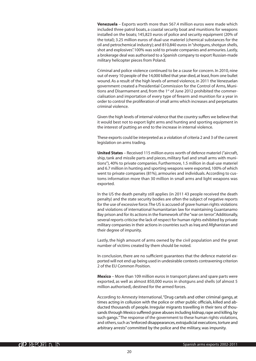**Venezuela** – Exports worth more than 567.4 million euros were made which included three patrol boats, a coastal security boat and munitions for weapons installed on the boats; 145,823 euros of police and security equipment (20% of the total); 3.25 million euros of dual-use materiel (chemical substances for the oil and petrochemical industry); and 810,840 euros in "shotguns, shotgun shells, shot and explosives". 100% was sold to private companies and armouries. Lastly, a brokerage deal was authorised to a Spanish company to export Russian-made military helicopter pieces from Poland.

Criminal and police violence continued to be a cause for concern. In 2010, nine out of every 10 people of the 14,000 killed that year died, at least, from one bullet wound. As a result of the high levels of armed violence, in 2011 the Venezuelan government created a Presidential Commission for the Control of Arms, Munitions and Disarmament and, from the 1<sup>st</sup> of June 2012 prohibited the commercialisation and importation of every type of firearm and munition for a year in order to control the proliferation of small arms which increases and perpetuates criminal violence.

Given the high levels of internal violence that the country suffers we believe that it would best not to export light arms and hunting and sporting equipment in the interest of putting an end to the increase in internal violence.

These exports could be interpreted as a violation of criteria 2 and 3 of the current legislation on arms trading.

**United States** – Received 115 million euros worth of defence materiel ("aircraft, ship, tank and missile parts and pieces, military fuel and small arms with munitions"), 40% to private companies. Furthermore, 1.5 million in dual-use materiel and 6.7 million in hunting and sporting weapons were exported, 100% of which went to private companies (81%), armouries and individuals. According to customs information more than 30 million in small arms and light weapons was exported.

In the US the death penalty still applies (in 2011 43 people received the death penalty) and the state security bodies are often the subject of negative reports for the use of excessive force. The US is accused of grave human rights violations and violations of international humanitarian law for maintaining Guantanamo Bay prison and for its actions in the framework of the "war on terror". Additionally, several reports criticise the lack of respect for human rights exhibited by private military companies in their actions in countries such as Iraq and Afghanistan and their degree of impunity.

Lastly, the high amount of arms owned by the civil population and the great number of victims created by them should be noted.

In conclusion, there are no sufficient guarantees that the defence materiel exported will not end up being used in undesirable contexts contravening criterion 2 of the EU Common Position.

**Mexico** – More than 109 million euros in transport planes and spare parts were exported, as well as almost 850,000 euros in shotguns and shells (of almost 5 million authorised), destined for the armed forces.

According to Amnesty International, "Drug cartels and other criminal gangs, at times acting in collusion with the police or other public officials, killed and abducted thousands of people. Irregular migrants travelling in their tens of thousands through Mexico suffered grave abuses including kidnap, rape and killing, by such gangs." The response of the government to these human rights violations, and others, such as "enforced disappearances, extrajudicial executions, torture and arbitrary arrests" committed by the police and the military, was impunity.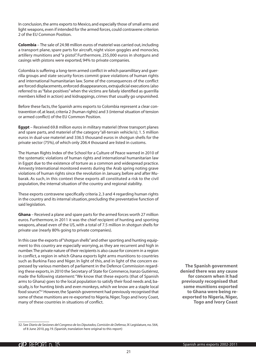In conclusion, the arms exports to Mexico, and especially those of small arms and light weapons, even if intended for the armed forces, could contravene criterion 2 of the EU Common Position.

**Colombia** – The sale of 24.98 million euros of materiel was carried out, including a transport plane, spare parts for aircraft, night vision goggles and monocles, artillery munitions and "a pistol". Furthermore, 255,000 euros in shotguns and casings with pistons were exported, 94% to private companies.

Colombia is suffering a long-term armed conflict in which paramilitary and guerrilla groups and state security forces commit grave violations of human rights and international humanitarian law. Some of the consequences of the conflict are forced displacements, enforced disappearances, extrajudicial executions (also referred to as "false positives" when the victims are falsely identified as guerrilla members killed in action) and kidnappings, crimes that usually go unpunished.

Before these facts, the Spanish arms exports to Colombia represent a clear contravention of, at least, criteria 2 (human rights) and 3 (internal situation of tension or armed conflict) of the EU Common Position.

**Egypt** – Received 69.8 million euros in military materiel (three transport planes and spare parts, and materiel of the category "all-terrain vehicle/s); 1. 5 million euros in dual-use materiel and 336.5 thousand euros in shotgun shells for the private sector (75%), of which only 206.4 thousand are listed in customs.

The Human Rights Index of the School for a Culture of Peace warned in 2010 of the systematic violations of human rights and international humanitarian law in Egypt due to the existence of torture as a common and widespread practice. Amnesty International monitored events during the Arab spring noting grave violations of human rights since the revolution in January, before and after Mubarak. As such, in this context these exports all constituted a risk to the civil population, the internal situation of the country and regional stability.

These exports contravene specifically criteria 2, 3 and 4 regarding human rights in the country and its internal situation, precluding the preventative function of said legislation.

**Ghana** *–* Received a plane and spare parts for the armed forces worth 27 million euros. Furthermore, in 2011 it was the chief recipient of hunting and sporting weapons, ahead even of the US, with a total of 7.5 million in shotgun shells for private use (nearly 80% going to private companies).

In this case the exports of "shotgun shells" and other sporting and hunting equipment to this country are especially worrying, as they are recurrent and high in number. The private nature of their recipients is also cause for concern in a region in conflict, a region in which Ghana exports light arms munitions to countries such as Burkina Faso and Niger. In light of this, and in light of the concern expressed by various members of parliament in the Defence Commission regarding these exports, in 2010 the Secretary of State for Commerce, Iranzo Gutiérrez, made the following statement: "We know that these exports (that of Spanish arms to Ghana) goes to the local population to satisfy their food needs and, basically, is for hunting birds and even monkeys, which we know are a staple local food source".<sup>32</sup> However, the Spanish government had previously recognised that some of these munitions are re-exported to Nigeria, Niger, Togo and Ivory Coast, many of these countries in situations of conflict.

**The Spanish government denied there was any cause for concern when it had previously recognised that some munitions exported to Ghana were being reexported to Nigeria, Niger, Togo and Ivory Coast**

<sup>32.</sup> See *Diario de Sesiones del Congreso de los Diputados, Comisión de Defensa*, IX Legislature, no. 564, of 8 June 2010, pg.19. (Spanish, translation here original to this report)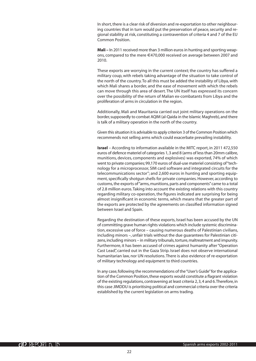In short, there is a clear risk of diversion and re-exportation to other neighbouring countries that in turn would put the preservation of peace, security and regional stability at risk, constituting a contravention of criteria 4 and 7 of the EU Common Position.

**Mali –** In 2011 received more than 3 million euros in hunting and sporting weapons, compared to the mere E470,000 received on average between 2007 and 2010.

These exports are worrying in the current context; the country has suffered a military coup, with rebels taking advantage of the situation to take control of the north of the country. To all this must be added the instability of Libya, with which Mali shares a border, and the ease of movement with which the rebels can move through this area of desert. The UN itself has expressed its concern over the possibility of the return of Malian ex-combatants from Libya and the proliferation of arms in circulation in the region.

Additionally, Mali and Mauritania carried out joint military operations on the border, supposedly to combat AQIM (al-Qaida in the Islamic Maghreb), and there is talk of a military operation in the north of the country.

Given this situation it is advisable to apply criterion 3 of the Common Position which recommends not selling arms which could exacerbate prevailing instability.

**Israel** – According to information available in the MITC report, in 2011 472,550 euros of defence materiel of categories 1, 3 and 8 (arms of less than 20mm calibre, munitions, devices, components and explosives) was exported, 74% of which went to private companies; 99,170 euros of dual-use materiel consisting of "technology for a microprocessor, SIM card software and integrated circuits for the telecommunications sector"; and 2,600 euros in hunting and sporting equipment, specifically shotgun shells for private companies. However, according to customs, the exports of "arms, munitions, parts and components" came to a total of 2.8 million euros. Taking into account the existing relations with this country regarding military co-operation, the figures indicated are surprising for being almost insignificant in economic terms, which means that the greater part of the exports are protected by the agreements on classified information signed between Israel and Spain.

Regarding the destination of these exports, Israel has been accused by the UN of committing grave human rights violations which include systemic discrimination, excessive use of force – causing numerous deaths of Palestinian civilians, including minors –, unfair trials without the due guarantees for Palestinian citizens, including minors – in military tribunals, torture, maltreatment and impunity. Furthermore, it has been accused of crimes against humanity after "Operation Cast Lead", carried out in the Gaza Strip. Israel does not observe international humanitarian law, nor UN resolutions. There is also evidence of re-exportation of military technology and equipment to third countries.

In any case, following the recommendations of the "User's Guide" for the application of the Common Position, these exports would constitute a flagrant violation of the existing regulations, contravening at least criteria 2, 3, 4 and 6. Therefore, in this case JIMDDU is prioritising political and commercial criteria over the criteria established by the current legislation on arms trading.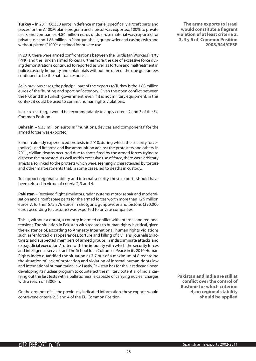**Turkey** – In 2011 66,350 euros in defence materiel, specifically aircraft parts and pieces for the A400M plane program and a pistol was exported, 100% to private users and companies. 4.84 million euros of dual-use material was exported for private use and 1.88 million in "shotgun shells, gunpowder and casings with and without pistons", 100% destined for private use.

In 2010 there were armed confrontations between the Kurdistan Workers' Party (PKK) and the Turkish armed forces. Furthermore, the use of excessive force during demonstrations continued to reported, as well as torture and maltreatment in police custody. Impunity and unfair trials without the offer of the due guarantees continued to be the habitual response.

As in previous cases, the principal part of the exports to Turkey is the 1.88 million euros of the "hunting and sporting" category. Given the open conflict between the PKK and the Turkish government, even if it is not military equipment, in this context it could be used to commit human rights violations.

In such a setting, it would be recommendable to apply criteria 2 and 3 of the EU Common Position.

**Bahrain** – 6.35 million euros in "munitions, devices and components" for the armed forces was exported.

Bahrain already experienced protests in 2010, during which the security forces (police) used firearms and live ammunition against the protesters and others. In 2011, civilian deaths occurred due to shots fired by the armed forces trying to disperse the protesters. As well as this excessive use of force, there were arbitrary arrests also linked to the protests which were, seemingly, characterised by torture and other maltreatments that, in some cases, led to deaths in custody.

To support regional stability and internal security, these exports should have been refused in virtue of criteria 2, 3 and 4.

**Pakistan** – Received flight simulators, radar systems, motor repair and modernisation and aircraft spare parts for the armed forces worth more than 12.9 million euros. A further 675,376 euros in shotguns, gunpowder and pistons (390,000 euros according to customs) was exported to private companies.

This is, without a doubt, a country in armed conflict with internal and regional tensions. The situation in Pakistan with regards to human rights is critical, given the existence of, according to Amnesty International, human rights violations such as "enforced disappearances, torture and killing of civilians, journalists, activists and suspected members of armed groups in indiscriminate attacks and extrajudicial executions"; often with the impunity with which the security forces and intelligence services act. The School for a Culture of Peace in its 2010 Human Rights Index quantified the situation as 7.7 out of a maximum of 8 regarding the situation of lack of protection and violation of internal human rights law and international humanitarian law. Lastly, Pakistan has for the last decade been developing its nuclear program to counteract the military potential of India, carrying out the last tests with a ballistic missile capable of carrying nuclear charges with a reach of 1300km.

On the grounds of all the previously indicated information, these exports would contravene criteria 2, 3 and 4 of the EU Common Position.

**The arms exports to Israel would constitute a flagrant violation of at least criteria 2, 3, 4 y 6 of Common Position 2008/944/CFSP**

**Pakistan and India are still at conflict over the control of Kashmir for which criterion 4, on regional stability should be applied**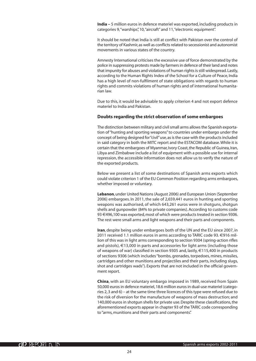**India –** 5 million euros in defence materiel was exported, including products in categories 9, "warships", 10, "aircraft" and 11, "electronic equipment".

It should be noted that India is still at conflict with Pakistan over the control of the territory of Kashmir, as well as conflicts related to secessionist and autonomist movements in various states of the country.

Amnesty International criticises the excessive use of force demonstrated by the police in suppressing protests made by farmers in defence of their land and notes that impunity for abuses and violations of human rights is still widespread. Lastly, according to the Human Rights Index of the School for a Culture of Peace, India has a high level of non-fulfilment of state obligations with regards to human rights and commits violations of human rights and of international humanitarian law.

Due to this, it would be advisable to apply criterion 4 and not export defence materiel to India and Pakistan.

#### **Doubts regarding the strict observation of some embargoes**

The distinction between military and civil small arms allows the Spanish exportation of "hunting and sporting weapons" to countries under embargo under the concept of being designed for "civil" use, as is the case with the products included in said category in both the MITC report and the ESTACOM database. While it is certain that the embargoes of Myanmar, Ivory Coast, the Republic of Guinea, Iran, Libya and Zimbabwe include a list of equipment with a possible use for internal repression, the accessible information does not allow us to verify the nature of the exported products.

Below we present a list of some destinations of Spanish arms exports which could violate criterion 1 of the EU Common Position regarding arms embargoes, whether imposed or voluntary.

**Lebanon**, under United Nations (August 2006) and European Union (September 2006) embargoes. In 2011, the sale of 2,659,441 euros in hunting and sporting weapons was authorised, of which 643,261 euros were in shotguns, shotgun shells and gunpowder (84% to private companies). According to customs code 93 €496,100 was exported, most of which were products treated in section 9306. The rest were small arms and light weapons and their parts and components.

**Iran**, despite being under embargoes both of the UN and the EU since 2007, in 2011 received 1.1 million euros in arms according to TARIC code 93. €916 million of this was in light arms corresponding to section 9304 (spring-action rifles and pistols),  $\epsilon$ 13,000 in parts and accessories for light arms (including those of weapons of war) classified in section 9305 and, lastly, €115,400 in products of sections 9306 (which includes "bombs, grenades, torpedoes, mines, missiles, cartridges and other munitions and projectiles and their parts, including slugs, shot and cartridges wads"). Exports that are not included in the official government report.

**China**, with an EU voluntary embargo imposed in 1989, received from Spain 50,000 euros in defence materiel, 18.6 million euros in dual-use materiel (categories 2, 3 and 6) – at the same time three licences of this type were refused due to the risk of diversion for the manufacture of weapons of mass destruction; and 140,000 euros in shotgun shells for private use. Despite these classifications, the aforementioned exports appear in chapter 93 of the TARIC code corresponding to "arms, munitions and their parts and components".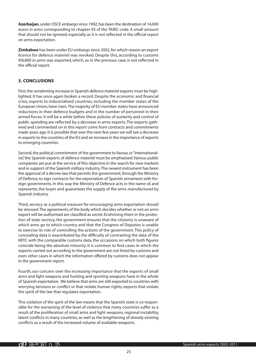<span id="page-24-0"></span>**Azerbaijan**, under OSCE embargo since 1992, has been the destination of 14,000 euros in arms corresponding to chapter 93 of the TARIC code. A small amount that should not be ignored, especially as it is not reflected in the official report on arms exportation.

**Zimbabwe** has been under EU embargo since 2002, for which reason an export licence for defence materiel was revoked. Despite this, according to customs  $\epsilon$ 8,800 in arms was exported, which, as in the previous case, is not reflected in the official report.

#### **5. CONCLUSIONS**

First, the unrelenting increase in Spanish defence materiel exports must be highlighted. It has once again broken a record. Despite the economic and financial crisis, exports to industrialised countries, including the member states of the European Union, have risen. The majority of EU member states have announced reductions in their defence budgets and in the number of personnel in their armed forces. It will be a while before these policies of austerity and control of public spending are reflected by a decrease in arms exports. The exports gathered and commented on in this report come from contracts and commitments made years ago. It is possible that over the next few years we will see a decrease in exports to the countries of the EU and an increase in the importance of exports to emerging countries.

Second, the political commitment of the government to favour, or "internationalise", the Spanish exports of defence materiel must be emphasised. Various public companies are put at the service of this objective in the search for new markets and in support of the Spanish military industry. The newest instrument has been the approval of a decree-law that permits the government, through the Ministry of Defence, to sign contracts for the exportation of Spanish armament with foreign governments. In this way the Ministry of Defence acts in the name of, and represents, the buyer and guarantees the supply of the arms manufactured by Spanish industry.

Third, secrecy as a political measure for encouraging arms exportation should be stressed. The agreements of the body which decides whether or not an arms export will be authorised are classified as secret. Enshrining them in the protection of state secrecy, the government ensures that the citizenry is unaware of which arms go to which country and that the Congress of Deputies is unable to exercise its role of controlling the actions of the government. This policy of concealing data is exacerbated by the difficulty of contrasting the data of the MITC with the comparable customs data, the occasions on which both figures coincide being the absolute minority. It is common to find cases in which the exports carried out according to the government are not listed by customs and even other cases in which the information offered by customs does not appear in the government report.

Fourth, our concern over the increasing importance that the exports of small arms and light weapons and hunting and sporting weapons have in the whole of Spanish exportation. We believe that arms are still exported to countries with worrying tensions or conflict or that violate human rights, exports that violate the spirit of the law that regulates exportation.

This violation of the spirit of the law means that the Spanish state is co-responsible for the worsening of the level of violence that many countries suffer as a result of the proliferation of small arms and light weapons, regional instability, latent conflicts in many countries, as well as the lengthening of already existing conflicts as a result of the increased volume of available weapons.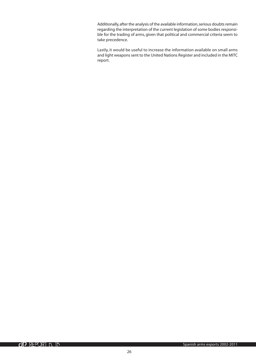Additionally, after the analysis of the available information, serious doubts remain regarding the interpretation of the current legislation of some bodies responsible for the trading of arms, given that political and commercial criteria seem to take precedence.

Lastly, it would be useful to increase the information available on small arms and light weapons sent to the United Nations Register and included in the MITC report.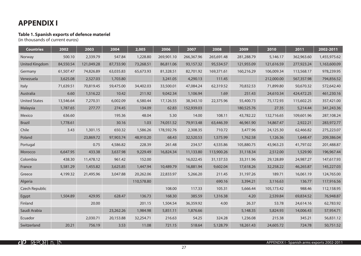## **APPENDIX I**

#### **Table 1. Spanish exports of defence materiel**

(in thousands of current euros)

| <b>Countries</b>      | 2002      | 2003       | 2004      | 2,005      | 2006       | 2007       | 2008       | 2009       | 2010       | 2011       | 2002-2011    |
|-----------------------|-----------|------------|-----------|------------|------------|------------|------------|------------|------------|------------|--------------|
| Norway                | 500.10    | 2,339.79   | 547.84    | 1,228.80   | 269,901.10 | 266,367.96 | 265,691.48 | 281,288.79 | 5,146.17   | 362,963.60 | 1,455,975.62 |
| <b>United Kingdom</b> | 84,550.54 | 121,049.28 | 87,733.90 | 73,268.51  | 86,811.06  | 93,157.32  | 95,534.57  | 121,955.09 | 121,616.59 | 277,923.24 | 1,163,600.09 |
| Germany               | 61,507.47 | 74,826.89  | 63,035.83 | 65,673.93  | 81,328.51  | 82,701.92  | 169,371.61 | 160,216.29 | 106,009.34 | 113,568.17 | 978,239.95   |
| Venezuela             | 3,625.08  | 2,527.03   | 1,703.80  |            | 3,241.05   | 4,290.13   | 111.45     |            | 212,000.00 | 567,357.98 | 794,856.52   |
| Italy                 | 71,639.51 | 70,819.45  | 59,475.00 | 34,402.03  | 33,500.01  | 47,084.24  | 62,319.52  | 70,832.53  | 71,899.80  | 50,670.32  | 572,642.40   |
| Australia             | 6.60      | 1,516.22   | 10.42     | 211.92     | 9,042.34   | 1,106.94   | 1.69       | 251.43     | 24,610.34  | 424,472.25 | 461,230.16   |
| <b>United States</b>  | 13,546.64 | 7,270.31   | 6,002.09  | 6,580.44   | 17,126.55  | 38,343.10  | 22,375.96  | 55,400.73  | 75,172.93  | 115,602.25 | 357,421.00   |
| Malaysia              | 1,787.65  | 277.77     | 274.45    | 134.09     | 62.83      | 152,939.03 |            | 180,525.76 | 27.35      | 5,214.44   | 341,243.36   |
| Mexico                | 636.60    |            | 195.36    | 48.04      | 5.30       | 14.00      | 108.11     | 43,782.22  | 132,716.65 | 109,601.96 | 287,108.24   |
| <b>Brazil</b>         | 1,778.61  |            | 30.16     | 1.03       | 74,051.52  | 79,913.48  | 63,446.39  | 46,961.90  | 14,867.47  | 2,922.21   | 283,972.77   |
| Chile                 | 3.43      | 1,301.15   | 650.32    | 1,586.26   | 178,592.76 | 2,308.35   | 710.72     | 3,477.96   | 24,125.30  | 62,466.82  | 275,223.07   |
| Poland                |           | 23,869.72  | 97,903.74 | 48,910.20  | 68.43      | 32,520.53  | 1,575.99   | 1,762.58   | 1,126.36   | 1,648.47   | 209,386.04   |
| Portugal              |           | 0.75       | 4,586.82  | 228.39     | 261.48     | 234.57     | 4,535.86   | 105,880.75 | 43,963.23  | 41,797.02  | 201,488.87   |
| Morocco               | 6,647.95  | 433.38     | 3,637.98  | 9,229.49   | 16,824.34  | 11,133.80  | 113,900.26 | 31,118.34  | 2,512.00   | 1,529.90   | 196,967.44   |
| Colombia              | 438.30    | 11,478.12  | 961.42    | 152.00     |            | 16,022.45  | 31,137.53  | 33,311.96  | 29,128.89  | 24,987.27  | 147,617.93   |
| France                | 5,581.29  | 1,455.82   | 3,625.85  | 1,447.94   | 10,489.79  | 16,881.94  | 9,602.04   | 17,618.26  | 32,258.22  | 46,265.87  | 145,227.03   |
| Greece                | 4,199.32  | 21,495.96  | 3,047.88  | 20,262.06  | 22,833.97  | 5,266.20   | 211.45     | 31,197.26  | 189.71     | 16,061.19  | 124,765.00   |
| Algeria               |           |            |           | 110,578.80 |            |            | 690.16     | 3,394.21   | 3,116.63   | 136.77     | 117,916.56   |
| Czech Republic        |           |            |           |            | 108.00     | 117.33     | 105.31     | 5,666.44   | 105,173.42 | 988.46     | 112,158.95   |
| Egypt                 | 1,504.89  | 429.95     | 628.47    | 136.73     | 168.30     | 385.59     | 1,316.38   | 4.20       | 2,539.84   | 69,834.52  | 76,948.87    |
| Finland               |           | 20.00      |           | 201.15     | 1,504.54   | 36,359.92  | 4.00       | 26.37      | 53.78      | 24,614.16  | 62,783.92    |
| Saudi Arabia          |           |            | 23,262.26 | 1,984.98   | 5,851.11   | 1,876.66   |            | 5,148.35   | 5,824.93   | 14,006.43  | 57,954.71    |
| Ecuador               |           | 2,030.71   | 20,153.88 | 32,254.71  | 216.63     | 54.25      | 324.28     | 1,236.08   | 215.38     | 345.21     | 56,831.12    |
| Switzerland           | 20.21     | 756.19     | 3.53      | 11.08      | 721.15     | 518.64     | 5,128.79   | 18,261.43  | 24,605.72  | 724.78     | 50,751.52    |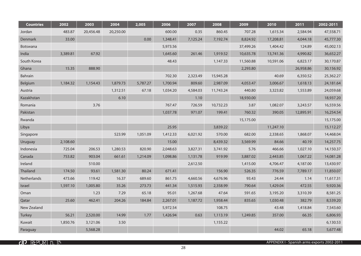| <b>Countries</b> | 2002     | 2003      | 2004      | 2,005    | 2006     | 2007     | 2008      | 2009      | 2010      | 2011      | 2002-2011 |
|------------------|----------|-----------|-----------|----------|----------|----------|-----------|-----------|-----------|-----------|-----------|
| Jordan           | 483.87   | 20,456.48 | 20,250.00 |          | 600.00   | 0.35     | 860.45    | 707.28    | 1,615.34  | 2,584.94  | 47,558.71 |
| Denmark          | 33.00    |           |           | 0.00     | 1,348.41 | 7,125.24 | 7,192.74  | 8,824.92  | 17,208.81 | 4,044.18  | 45,777.30 |
| <b>Botswana</b>  |          |           |           |          | 5,973.56 |          |           | 37,499.26 | 1,404.42  | 124.89    | 45,002.13 |
| India            | 3,389.81 | 67.92     |           |          | 1,645.60 | 261.46   | 1,919.52  | 10,635.78 | 13,741.36 | 4,990.82  | 36,652.27 |
| South Korea      |          |           |           |          | 48.43    |          | 1,147.33  | 11,560.88 | 10,591.06 | 6,823.17  | 30,170.87 |
| Ghana            | 15.35    | 888.90    |           |          |          |          |           | 2,293.80  |           | 26,958.86 | 30,156.92 |
| Bahrain          |          |           |           |          | 702.30   | 2,323.49 | 15,945.28 |           | 40.69     | 6,350.52  | 25,362.27 |
| Belgium          | 1,184.32 | 1,154.43  | 1,879.73  | 5,787.27 | 1,700.94 | 809.60   | 2,987.09  | 4,053.47  | 3,006.67  | 1,618.13  | 24,181.64 |
| Austria          |          |           | 1,312.51  | 67.18    | 1,034.20 | 4,584.03 | 11,743.24 | 440.80    | 3,323.82  | 1,553.89  | 24,059.68 |
| Kazakhstan       |          |           | 6.10      |          |          | 1.10     |           | 18,930.00 |           |           | 18,937.20 |
| Romania          |          | 3.76      |           |          | 767.47   | 726.59   | 10,732.23 | 3.87      | 1,082.07  | 3,243.57  | 16,559.56 |
| Pakistan         |          |           |           |          | 1,037.78 | 971.07   | 199.41    | 760.32    | 390.05    | 12,895.91 | 16,254.54 |
| Rwanda           |          |           |           |          |          |          |           | 15,175.00 |           |           | 15,175.00 |
| Libya            |          |           |           |          | 25.95    |          | 3,839.22  |           | 11,247.10 |           | 15,112.27 |
| Singapore        |          |           | 523.99    | 1,051.09 | 1,412.33 | 6,021.92 | 570.00    | 682.00    | 2,338.65  | 1,868.07  | 14,468.04 |
| Uruguay          | 2,108.60 |           |           |          | 15.00    |          | 8,439.32  | 3,569.99  | 84.66     | 40.19     | 14,257.75 |
| Indonesia        | 725.04   | 206.53    | 1,280.53  | 820.90   | 2,048.63 | 3,827.31 | 3,741.92  | 5.76      | 466.66    | 1,027.10  | 14,150.37 |
| Canada           | 753.82   | 903.04    | 661.61    | 1,214.09 | 1,098.86 | 1,131.78 | 919.99    | 3,887.02  | 2,443.85  | 1,067.22  | 14,081.28 |
| Ireland          |          | 510.00    |           |          |          | 2,612.50 |           | 1,415.00  | 4,706.47  | 4,187.00  | 13,430.97 |
| Thailand         | 174.50   | 93.61     | 1,581.30  | 80.24    | 671.41   |          | 156.90    | 526.35    | 776.59    | 7,789.17  | 11,850.07 |
| Netherlands      | 473.66   | 119.42    | 16.37     | 689.60   | 861.75   | 4,660.56 | 4,676.96  | 93.43     | 24.44     | 1.14      | 11,617.31 |
| Israel           | 1,597.10 | 1,005.80  | 35.26     | 273.73   | 441.34   | 1,515.93 | 2,358.99  | 790.64    | 1,429.04  | 472.55    | 9,920.36  |
| Oman             |          | 1.23      | 7.29      | 65.18    | 95.01    | 1,267.68 | 47.64     | 591.65    | 3,195.20  | 3,310.39  | 8,581.25  |
| Qatar            | 25.60    | 462.41    | 204.26    | 184.84   | 2,267.01 | 1,187.72 | 1,958.44  | 835.65    | 1,030.48  | 382.79    | 8,539.20  |
| New Zealand      |          |           |           |          | 5,972.54 |          | 108.75    |           | 43.48     | 1,418.84  | 7,543.60  |
| Turkey           | 56.21    | 2,520.00  | 14.99     | 1.77     | 1,426.94 | 0.63     | 1,113.19  | 1,249.85  | 357.00    | 66.35     | 6,806.93  |
| Kuwait           | 1,850.76 | 3,121.06  | 3.50      |          |          |          | 1,155.22  |           |           |           | 6,130.53  |
| Paraguay         |          | 5,568.28  |           |          |          |          |           |           | 44.02     | 65.18     | 5,677.48  |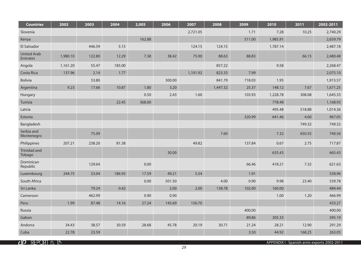| <b>Countries</b>               | 2002     | 2003   | 2004   | 2,005  | 2006   | 2007     | 2008     | 2009   | 2010     | 2011   | 2002-2011 |
|--------------------------------|----------|--------|--------|--------|--------|----------|----------|--------|----------|--------|-----------|
| Slovenia                       |          |        |        |        |        | 2,721.05 |          | 1.71   | 7.28     | 10.25  | 2,740.29  |
| Kenya                          |          |        |        | 162.88 |        |          |          | 511.00 | 1,985.91 |        | 2,659.79  |
| El Salvador                    |          | 446.59 | 5.15   |        |        | 124.15   | 124.15   |        | 1,787.14 |        | 2,487.18  |
| <b>United Arab</b><br>Emirates | 1,980.10 | 122.80 | 12.29  | 7.38   | 38.42  | 75.90    | 88.63    | 88.83  |          | 66.15  | 2,480.48  |
| Angola                         | 1,161.20 | 55.47  | 185.00 |        |        |          | 857.22   |        | 9.58     |        | 2,268.47  |
| Costa Rica                     | 137.96   | 2.14   | 1.77   |        |        | 1,101.92 | 823.33   | 7.99   |          |        | 2,075.10  |
| Bolivia                        |          | 53.80  |        |        | 300.00 |          | 841.79   | 718.03 | 1.95     |        | 1,915.57  |
| Argentina                      | 9.23     | 17.66  | 10.87  | 1.80   | 3.20   |          | 1,447.32 | 25.37  | 148.12   | 7.67   | 1,671.25  |
| Hungary                        |          |        |        | 0.50   | 2.43   | 1.60     |          | 103.93 | 1,228.78 | 308.08 | 1,645.33  |
| Tunisia                        |          |        | 22.45  | 368.00 |        |          |          |        | 778.48   |        | 1,168.93  |
| Latvia                         |          |        |        |        |        |          |          |        | 495.48   | 518.88 | 1,014.36  |
| Estonia                        |          |        |        |        |        |          |          | 320.99 | 641.46   | 4.60   | 967.05    |
| Bangladesh                     |          |        |        |        |        |          |          |        |          | 749.32 | 749.32    |
| Serbia and<br>Montenegro       |          | 75.09  |        |        |        |          | 7.60     |        | 7.32     | 650.55 | 740.56    |
| Philippines                    | 207.21   | 238.20 | 81.38  |        |        | 49.82    |          | 137.84 | 0.67     | 2.75   | 717.87    |
| <b>Trinidad and</b><br>Tobago  |          |        |        |        | 30.00  |          |          |        | 635.43   |        | 665.43    |
| Dominican<br>Republic          |          | 129.64 |        | 0.00   |        |          |          | 66.46  | 418.21   | 7.32   | 621.63    |
| Luxembourg                     | 244.75   | 53.04  | 186.93 | 17.59  | 49.21  | 5.54     |          | 1.91   |          |        | 558.96    |
| South Africa                   |          |        |        | 0.00   | 501.50 |          | 4.00     | 0.90   | 9.98     | 23.40  | 539.78    |
| Sri Lanka                      |          | 79.24  | 0.42   |        | 2.00   | 2.00     | 138.78   | 102.00 | 160.00   |        | 484.44    |
| Cameroon                       |          | 462.99 |        | 0.90   | 0.90   |          |          |        | 1.00     | 1.20   | 466.99    |
| Peru                           | 1.99     | 87.48  | 14.16  | 27.24  | 145.69 | 156.70   |          |        |          |        | 433.27    |
| Russia                         |          |        |        |        |        |          |          | 400.00 |          |        | 400.00    |
| Gabon                          |          |        |        |        |        |          |          | 89.86  | 305.33   |        | 395.19    |
| Andorra                        | 34.43    | 38.57  | 30.59  | 28.68  | 45.78  | 20.19    | 30.71    | 21.24  | 28.21    | 12.90  | 291.29    |
| Cuba                           | 22.78    | 23.59  |        |        |        |          |          | 3.50   | 44.92    | 168.25 | 263.05    |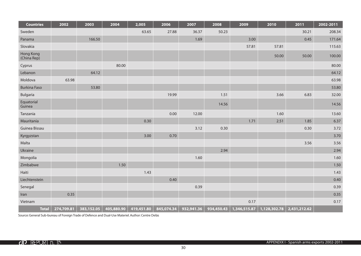| <b>Countries</b>                | 2002       | 2003       | 2004       | 2,005      | 2006       | 2007       | 2008       | 2009         | 2010                        | 2011  | 2002-2011 |
|---------------------------------|------------|------------|------------|------------|------------|------------|------------|--------------|-----------------------------|-------|-----------|
| Sweden                          |            |            |            | 63.65      | 27.88      | 36.37      | 50.23      |              |                             | 30.21 | 208.34    |
| Panama                          |            | 166.50     |            |            |            | 1.69       |            | 3.00         |                             | 0.45  | 171.64    |
| Slovakia                        |            |            |            |            |            |            |            | 57.81        | 57.81                       |       | 115.63    |
| <b>Hong Kong</b><br>(China Rep) |            |            |            |            |            |            |            |              | 50.00                       | 50.00 | 100.00    |
| Cyprus                          |            |            | 80.00      |            |            |            |            |              |                             |       | 80.00     |
| Lebanon                         |            | 64.12      |            |            |            |            |            |              |                             |       | 64.12     |
| Moldova                         | 63.98      |            |            |            |            |            |            |              |                             |       | 63.98     |
| <b>Burkina Faso</b>             |            | 53.80      |            |            |            |            |            |              |                             |       | 53.80     |
| Bulgaria                        |            |            |            |            | 19.99      |            | 1.51       |              | 3.66                        | 6.83  | 32.00     |
| Equatorial<br>Guinea            |            |            |            |            |            |            | 14.56      |              |                             |       | 14.56     |
| Tanzania                        |            |            |            |            | 0.00       | 12.00      |            |              | 1.60                        |       | 13.60     |
| Mauritania                      |            |            |            | 0.30       |            |            |            | 1.71         | 2.51                        | 1.85  | 6.37      |
| Guinea Bissau                   |            |            |            |            |            | 3.12       | 0.30       |              |                             | 0.30  | 3.72      |
| Kyrgyzstan                      |            |            |            | 3.00       | 0.70       |            |            |              |                             |       | 3.70      |
| Malta                           |            |            |            |            |            |            |            |              |                             | 3.56  | 3.56      |
| Ukraine                         |            |            |            |            |            |            | 2.94       |              |                             |       | 2.94      |
| Mongolia                        |            |            |            |            |            | 1.60       |            |              |                             |       | 1.60      |
| Zimbabwe                        |            |            | 1.50       |            |            |            |            |              |                             |       | 1.50      |
| Haiti                           |            |            |            | 1.43       |            |            |            |              |                             |       | 1.43      |
| Liechtenstein                   |            |            |            |            | 0.40       |            |            |              |                             |       | 0.40      |
| Senegal                         |            |            |            |            |            | 0.39       |            |              |                             |       | 0.39      |
| Iran                            | 0.35       |            |            |            |            |            |            |              |                             |       | 0.35      |
| Vietnam                         |            |            |            |            |            |            |            | 0.17         |                             |       | 0.17      |
| <b>Total</b>                    | 274,709.81 | 383,152.05 | 405,880.90 | 419,451.80 | 845,074.34 | 932,941.36 | 934,450.43 | 1,346,515.87 | $1,128,302.78$ 2,431,212.62 |       |           |

Source: General Sub-bureau of Foreign Trade of Defence and Dual-Use Materiel. Author: Centre Delàs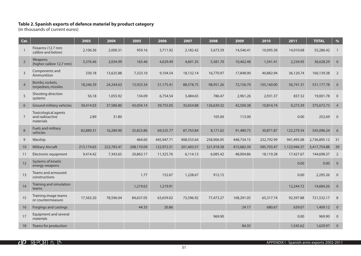#### **Table 2. Spanish exports of defence materiel by product category**

(in thousands of current euros)

| Cat.           |                                                             | 2003       | 2004       | 2005       | 2006       | 2007       | 2008       | 2009       | 2010       | 2011         | <b>TOTAL</b> | $\%$           |
|----------------|-------------------------------------------------------------|------------|------------|------------|------------|------------|------------|------------|------------|--------------|--------------|----------------|
| $\mathbf{1}$   | Firearms (12.7 mm<br>calibre and below)                     | 2,106.36   | 2,000.31   | 959.16     | 3,711.92   | 2,182.42   | 5,673.59   | 14,546.41  | 10,095.58  | 14,010.68    | 55,286.42    | $\overline{1}$ |
| $\overline{2}$ | Weapons<br>(higher calibre 12,7 mm)                         | 5,376.46   | 2,034.99   | 165.46     | 4,629.49   | 4,601.35   | 5,581.70   | 10,462.48  | 1,541.41   | 2,234.95     | 36,628.29    | $\overline{0}$ |
| $\overline{3}$ | Components and<br>Ammunition                                | 330.18     | 13,625.88  | 7,323.10   | 9,104.54   | 18,132.14  | 16,770.97  | 17,848.90  | 40,882.94  | 36,120.74    | 160,139.38   | 2              |
| $\overline{4}$ | Bombs, rockets,<br>torpedoes, missiles                      | 18,246.39  | 24,244.63  | 15,923.34  | 51,175.41  | 88,578.75  | 98,951.26  | 72,156.70  | 105,160.00 | 56,741.31    | 531,177.78   | 6              |
| 5              | Shooting direction<br>systems                               | 56.18      | 1,055.92   | 134.09     | 6,754.54   | 3,484.65   | 786.47     | 2,961.26   | 2,931.37   | 837.32       | 19,001.78    | $\overline{0}$ |
| 6              | Ground military vehicles                                    | 30,414.03  | 37,586.80  | 43,034.14  | 39,755.05  | 35,654.88  | 126,639.32 | 42,500.38  | 10,814.74  | 9,273.39     | 375,672.73   | $\overline{4}$ |
| $\overline{7}$ | <b>Toxicological agents</b><br>and radioactive<br>materials | 2.89       | 31.80      |            |            |            | 105.00     | 113.00     |            | 0.00         | 252.69       | $\overline{0}$ |
| 8              | Fuels and military<br>vehicles                              | 82,889.31  | 16,289.90  | 35,823.86  | 69,525.77  | 87,763.84  | 8,171.62   | 91,480.73  | 30,871.87  | 122,279.34   | 545,096.24   | 6              |
| 9              | Warship                                                     |            |            | 464.60     | 445,947.71 | 408,553.64 | 258,906.95 | 448,734.15 | 232,792.99 | 941,495.08   | 2,736,895.12 | 31             |
| 10             | <b>Military Aircraft</b>                                    | 215,174.65 | 222,783.47 | 208,170.09 | 122,972.51 | 201,403.57 | 321,918.38 | 415,682.39 | 585,703.47 | 1,123,946.37 | 3,417,754.88 | 39             |
| 11             | Electronic equipment                                        | 9,414.42   | 7,343.65   | 20,863.17  | 11,325.76  | 6,114.13   | 6,085.42   | 48,004.86  | 18,119.28  | 17,427.67    | 144,698.37   | $\overline{2}$ |
| 12             | Systems of kinetic<br>energy weapons                        |            |            |            |            |            |            |            |            | 0.00         | 0.00         | $\mathbf{0}$   |
| 13             | Teams and armoured<br>constructions                         |            |            | 1.77       | 152.67     | 1,228.67   | 912.15     |            |            | 0.00         | 2,295.26     | $\mathbf 0$    |
| 14             | Training and simulation<br>teams                            |            |            | 1,219.62   | 1,219.91   |            |            |            |            | 12,244.72    | 14,684.26    | $\mathbf{0}$   |
| 15             | Training image teams<br>or countermeasure                   | 17,563.20  | 78,596.04  | 84,637.05  | 63,659.02  | 73,596.92  | 77,473.27  | 168,291.05 | 65,317.74  | 92,397.88    | 721,532.17   | 8              |
| 16             | Forgings and castings                                       |            |            | 44.35      | 20.86      |            |            | 24.17      | 680.67     | 639.07       | 1,409.12     | $\mathbf{0}$   |
| 17             | <b>Equipment and several</b><br>materials                   |            |            |            |            |            | 969.90     |            |            | 0.00         | 969.90       | $\mathbf 0$    |
| 18             | Teams for production                                        |            |            |            |            |            |            | 84.35      |            | 1,545.62     | 1,629.97     | $\mathbf 0$    |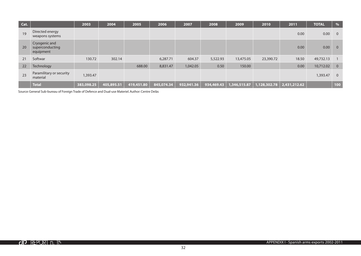| Cat. |                                               | 2003       | 2004       | 2005       | 2006       | 2007       | 2008       | 2009         | 2010         | 2011         | <b>TOTAL</b> | $\frac{0}{6}$  |
|------|-----------------------------------------------|------------|------------|------------|------------|------------|------------|--------------|--------------|--------------|--------------|----------------|
| 19   | Directed energy<br>weapons systems            |            |            |            |            |            |            |              |              | 0.00         | 0.00         | $\overline{0}$ |
| 20   | Cryogenic and<br>superconducting<br>equipment |            |            |            |            |            |            |              |              | 0.00         | 0.00         | $\overline{0}$ |
| 21   | Softwar                                       | 130.72     | 302.14     |            | 6,287.71   | 604.37     | 5,522.93   | 13,475.05    | 23,390.72    | 18.50        | 49,732.13    |                |
| 22   | Technology                                    |            |            | 688.00     | 8,831.47   | 1,042.05   | 0.50       | 150.00       |              | 0.00         | 10,712.02    | $\overline{0}$ |
| 23   | Paramilitary or security<br>material          | 1,393.47   |            |            |            |            |            |              |              |              | 1,393.47     | $\Omega$       |
|      | <b>Total</b>                                  | 383,098.25 | 405,895.51 | 419,451.80 | 845,074.34 | 932,941.36 | 934,469.43 | 1,346,515.87 | 1,128,302.78 | 2,431,212.62 |              | 100            |

Source: General Sub-bureau of Foreign Trade of Defence and Dual-use Materiel. Author: Centre Delàs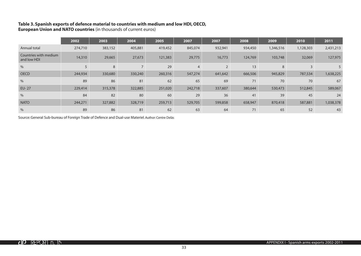### **Table 3. Spanish exports of defence material to countries with medium and low HDI, OECD,**

**European Union and NATO countries** (in thousands of current euros)

|                                      | 2002    | 2003    | 2004           | 2005    | 2007           | 2007           | 2008    | 2009      | 2010      | 2011      |
|--------------------------------------|---------|---------|----------------|---------|----------------|----------------|---------|-----------|-----------|-----------|
| Annual total                         | 274,710 | 383,152 | 405,881        | 419,452 | 845,074        | 932,941        | 934,450 | 1,346,516 | 1,128,303 | 2,431,213 |
| Countries with medium<br>and low HDI | 14,310  | 29,665  | 27,673         | 121,383 | 29,775         | 16,773         | 124,769 | 103,748   | 32,069    | 127,975   |
| $\%$                                 |         | 8       | $\overline{ }$ | 29      | $\overline{4}$ | $\overline{2}$ | 13      | 8         | 3         |           |
| <b>OECD</b>                          | 244,934 | 330,680 | 330,240        | 260,316 | 547,274        | 641,642        | 666,506 | 945,829   | 787,534   | 1,638,225 |
| $\%$                                 | 89      | 86      | 81             | 62      | 65             | 69             | 71      | 70        | 70        | 67        |
| <b>EU-27</b>                         | 229,414 | 315,378 | 322,885        | 251,020 | 242,718        | 337,607        | 380,644 | 530,473   | 512,845   | 589,067   |
| $\%$                                 | 84      | 82      | 80             | 60      | 29             | 36             | 41      | 39        | 45        | 24        |
| <b>NATO</b>                          | 244,271 | 327,882 | 328,719        | 259,713 | 529,705        | 599,858        | 658,947 | 870,418   | 587,881   | 1,038,378 |
| $\frac{0}{0}$                        | 89      | 86      | 81             | 62      | 63             | 64             | 71      | 65        | 52        | 43        |

Source: General Sub-bureau of Foreign Trade of Defence and Dual-use Materiel. Author: Centre Delàs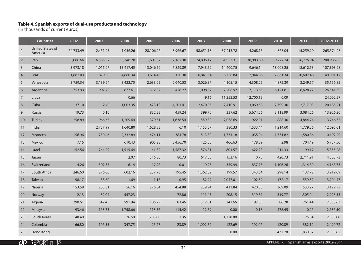#### **Table 4. Spanish exports of dual-use products and technology**

(in thousands of current euros)

|                | <b>Countries</b>            | 2002      | 2003     | 2004      | 2005      | 2006      | 2007      | 2008      | 2009      | 2010      | 2011      | 2002-2011  |
|----------------|-----------------------------|-----------|----------|-----------|-----------|-----------|-----------|-----------|-----------|-----------|-----------|------------|
|                | United States of<br>America | 64,733.49 | 2,451.25 | 1,056.26  | 28,106.26 | 48,966.67 | 58,651.18 | 37,213.78 | 4,268.15  | 4,868.04  | 15,259.20 | 265,574.28 |
| $\overline{2}$ | Iran                        | 3,086.66  | 6,555.92 | 5,748.70  | 1,601.82  | 2,162.30  | 24,896.17 | 61,953.31 | 38,983.60 | 39,222.24 | 16,775.94 | 200,986.66 |
| 3              | China                       | 3,973.18  | 1,015.07 | 13,417.45 | 13,046.52 | 7,829.89  | 7,943.52  | 14,400.75 | 9,646.14  | 18,008.25 | 18,612.53 | 107,893.28 |
| $\overline{4}$ | <b>Brazil</b>               | 1,682.03  | 879.90   | 4,660.34  | 3,614.49  | 3,150.30  | 6,841.54  | 6,758.84  | 2,944.86  | 7,861.34  | 10,607.48 | 49,001.12  |
| 5              | Venezuela                   | 3,759.34  | 3,139.24 | 3,422.75  | 2,633.25  | 2,640.53  | 3,026.37  | 4,105.15  | 4,308.25  | 4,872.39  | 3,249.57  | 35,156.85  |
| 6              | Argentina                   | 753.93    | 997.29   | 877.61    | 312.82    | 428.27    | 1,098.32  | 2,208.97  | 7,113.65  | 6,121.81  | 6,628.72  | 26,541.39  |
| $\overline{7}$ | Libya                       |           |          | 0.66      |           |           | 49.16     | 11,252.53 | 12,700.13 | 0.09      |           | 24,002.57  |
| 8              | Cuba                        | 37.10     | 2.40     | 1,003.35  | 1,473.18  | 4,201.41  | 2,470.95  | 2,410.91  | 3,069.58  | 2,799.30  | 2,717.03  | 20,185.21  |
| 9              | Russia                      | 19.73     | 0.10     |           | 832.32    | 459.24    | 399.70    | 337.62    | 5,674.26  | 3,118.99  | 3,084.26  | 13,926.20  |
| 10             | Turkey                      | 258.89    | 966.65   | 1,209.64  | 379.51    | 1,638.54  | 559.39    | 2,078.69  | 922.01    | 888.30    | 4,844.74  | 13,746.35  |
| 11             | India                       |           | 2,757.99 | 1,640.80  | 1,628.83  | 6.10      | 1,153.57  | 380.33    | 1,533.44  | 1,214.60  | 1,779.36  | 12,095.01  |
| 12             | Morocco                     | 156.96    | 250.46   | 2,332.89  | 474.11    | 384.78    | 513.30    | 1,731.18  | 1,035.94  | 1,731.82  | 1,580.86  | 10,192.29  |
| 13             | Mexico                      | 7.15      |          | 610.43    | 905.28    | 3,456.70  | 425.00    | 466.63    | 178.89    | 2.98      | 704.49    | 6,757.56   |
| 14             | Israel                      | 152.56    | 244.29   | 1,515.64  | 41.32     | 1,587.32  | 576.81    | 801.57    | 622.28    | 214.33    | 99.17     | 5,855.28   |
| 15             | Japan                       |           |          | 2.07      | 516.80    | 80.73     | 617.58    | 153.16    | 0.75      | 420.73    | 2,711.91  | 4,503.73   |
| 16             | Switzerland                 | 4.26      | 502.35   | 6.14      | 17.98     | 0.01      | 19.23     | 359.99    | 837.73    | 1,106.26  | 1,314.80  | 4,168.73   |
| 17             | South Africa                | 246.60    | 276.66   | 602.16    | 257.73    | 195.45    | 1,362.02  | 199.57    | 343.64    | 298.14    | 137.72    | 3,919.69   |
| 18             | Taiwan                      | 198.17    | 38.60    | 1.69      | 1.18      | 0.95      | 82.99     | 2,047.01  | 102.39    | 172.17    | 559.32    | 3,204.47   |
| 19             | Nigeria                     | 153.58    | 283.81   | 56.16     | 276.84    | 454.88    | 239.94    | 411.84    | 420.33    | 369.09    | 533.27    | 3,199.73   |
| 20             | Norway                      | 2.13      | 32.04    | 557.23    |           | 72.86     | 111.45    | 208.15    | 319.87    | 319.77    | 1,305.04  | 2,928.53   |
| 21             | Algeria                     | 290.61    | 642.45   | 591.94    | 106.79    | 83.46     | 312.01    | 241.65    | 192.05    | 86.28     | 261.44    | 2,808.67   |
| 22             | Malaysia                    | 93.46     | 163.73   | 1,758.66  | 113.56    | 115.42    | 12.79     | 0.00      | 0.18      | 478.45    | 0.26      | 2,736.50   |
| 23             | South Korea                 | 148.40    |          | 26.50     | 1,203.00  | 1.35      |           | 1,128.80  |           |           | 25.84     | 2,533.88   |
| 24             | Colombia                    | 166.80    | 106.55   | 347.75    | 25.27     | 23.89     | 1,002.72  | 122.69    | 192.06    | 120.89    | 382.12    | 2,490.72   |
| 25             | Hong Kong                   |           |          |           |           |           |           | 0.00      |           | 472.78    | 1,830.87  | 2,303.65   |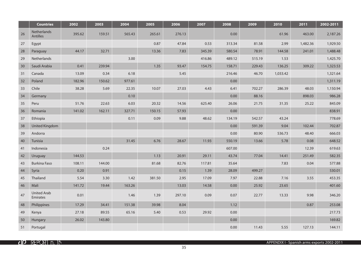|    | <b>Countries</b>               | 2002   | 2003   | 2004   | 2005   | 2006   | 2007   | 2008   | 2009   | 2010     | 2011     | 2002-2011 |
|----|--------------------------------|--------|--------|--------|--------|--------|--------|--------|--------|----------|----------|-----------|
| 26 | Netherlands<br>Antilles        | 395.62 | 159.51 | 565.43 | 265.61 | 276.13 |        | 0.00   |        | 61.96    | 463.00   | 2,187.26  |
| 27 | Egypt                          |        |        |        | 0.87   | 47.84  | 0.53   | 313.34 | 81.58  | 2.99     | 1,482.36 | 1,929.50  |
| 28 | Paraguay                       | 44.17  | 32.71  |        | 13.36  | 7.83   | 345.39 | 580.54 | 78.91  | 144.58   | 241.01   | 1,488.48  |
| 29 | Netherlands                    |        |        | 3.00   |        |        | 416.86 | 489.12 | 515.19 | 1.53     |          | 1,425.70  |
| 30 | Saudi Arabia                   | 0.41   | 239.94 |        | 1.35   | 93.47  | 154.75 | 158.71 | 229.43 | 136.25   | 309.22   | 1,323.53  |
| 31 | Canada                         | 13.09  | 0.34   | 6.18   |        | 5.45   |        | 216.46 | 46.70  | 1,033.42 |          | 1,321.64  |
| 32 | Poland                         | 182.96 | 150.62 | 977.61 |        |        |        | 0.00   |        |          |          | 1,311.19  |
| 33 | Chile                          | 38.28  | 5.69   | 22.35  | 10.07  | 27.03  | 4.43   | 6.41   | 702.27 | 286.39   | 48.03    | 1,150.94  |
| 34 | Germany                        |        |        | 0.10   |        |        |        | 0.00   | 88.16  |          | 898.03   | 986.28    |
| 35 | Peru                           | 51.76  | 22.63  | 6.03   | 20.32  | 14.56  | 625.40 | 26.06  | 21.75  | 31.35    | 25.22    | 845.09    |
| 36 | Romania                        | 141.02 | 162.11 | 327.71 | 150.15 | 57.93  |        | 0.00   |        |          |          | 838.91    |
| 37 | Ethiopia                       |        |        | 0.11   | 0.09   | 9.88   | 48.62  | 134.19 | 542.57 | 43.24    |          | 778.69    |
| 38 | United Kingdom                 |        |        |        |        |        |        | 0.00   | 591.39 | 9.04     | 102.44   | 702.87    |
| 39 | Andorra                        |        |        |        |        |        |        | 0.00   | 80.90  | 536.73   | 48.40    | 666.03    |
| 40 | Tunisia                        |        |        | 31.45  | 6.76   | 28.67  | 11.93  | 550.19 | 13.66  | 5.78     | 0.08     | 648.52    |
| 41 | Indonesia                      |        | 0.24   |        |        |        |        | 607.00 |        |          | 12.39    | 619.63    |
| 42 | Uruguay                        | 144.53 |        |        | 1.13   | 20.91  | 29.11  | 43.74  | 77.04  | 14.41    | 251.49   | 582.35    |
| 43 | <b>Burkina Faso</b>            | 108.11 | 144.00 |        | 81.68  | 82.76  | 117.81 | 35.64  |        | 7.83     | 0.04     | 577.88    |
| 44 | Syria                          | 0.20   | 0.91   |        |        | 0.15   | 1.39   | 28.09  | 499.27 |          |          | 530.01    |
| 45 | Thailand                       | 5.54   | 3.30   | 1.42   | 381.50 | 2.95   | 17.09  | 7.97   | 22.88  | 7.16     | 3.55     | 453.35    |
| 46 | Mali                           | 141.72 | 19.44  | 163.26 |        | 13.03  | 14.58  | 0.00   | 25.92  | 23.65    |          | 401.60    |
| 47 | <b>United Arab</b><br>Emirates | 0.01   |        | 1.46   | 1.39   | 297.10 | 0.09   | 0.07   | 22.77  | 13.33    | 9.98     | 346.20    |
| 48 | Philippines                    | 17.29  | 34.41  | 151.38 | 39.98  | 8.04   |        | 1.12   |        |          | 0.87     | 253.08    |
| 49 | Kenya                          | 27.18  | 89.55  | 65.16  | 5.40   | 0.53   | 29.92  | 0.00   |        |          |          | 217.73    |
| 50 | Hungary                        | 26.02  | 143.80 |        |        |        |        | 0.00   |        |          |          | 169.82    |
| 51 | Portugal                       |        |        |        |        |        |        | 0.00   | 11.43  | 5.55     | 127.13   | 144.11    |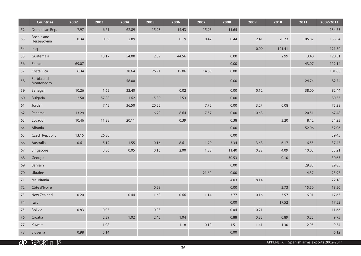|    | <b>Countries</b>          | 2002  | 2003  | 2004  | 2005  | 2006  | 2007  | 2008     | 2009  | 2010   | 2011   | 2002-2011 |
|----|---------------------------|-------|-------|-------|-------|-------|-------|----------|-------|--------|--------|-----------|
| 52 | Dominican Rep.            | 7.97  | 6.61  | 62.89 | 15.23 | 14.43 | 15.95 | 11.65    |       |        |        | 134.73    |
| 53 | Bosnia and<br>Herzegovina | 0.34  | 0.09  | 2.89  |       | 0.19  | 0.42  | 0.44     | 2.41  | 20.73  | 105.82 | 133.34    |
| 54 | Iraq                      |       |       |       |       |       |       |          | 0.09  | 121.41 |        | 121.50    |
| 55 | Guatemala                 |       | 13.17 | 54.00 | 2.39  | 44.56 |       | 0.00     |       | 2.99   | 3.40   | 120.51    |
| 56 | France                    | 69.07 |       |       |       |       |       | 0.00     |       |        | 43.07  | 112.14    |
| 57 | Costa Rica                | 6.34  |       | 38.64 | 26.91 | 15.06 | 14.65 | 0.00     |       |        |        | 101.60    |
| 58 | Serbia and<br>Montenegro  |       |       | 58.00 |       |       |       | 0.00     |       |        | 24.74  | 82.74     |
| 59 | Senegal                   | 10.26 | 1.65  | 32.40 |       | 0.02  |       | 0.00     | 0.12  |        | 38.00  | 82.44     |
| 60 | <b>Bulgaria</b>           | 2.50  | 57.88 | 1.62  | 15.80 | 2.53  |       | 0.00     |       |        |        | 80.33     |
| 61 | Jordan                    |       | 7.45  | 36.50 | 20.25 |       | 7.72  | $0.00\,$ | 3.27  | 0.08   |        | 75.28     |
| 62 | Panama                    | 13.29 |       |       | 6.79  | 8.64  | 7.57  | 0.00     | 10.68 |        | 20.51  | 67.48     |
| 63 | Ecuador                   | 10.46 | 11.28 | 20.11 |       | 0.39  |       | 0.38     |       | 3.20   | 8.42   | 54.23     |
| 64 | Albania                   |       |       |       |       |       |       | 0.00     |       |        | 52.06  | 52.06     |
| 65 | Czech Republic            | 13.15 | 26.30 |       |       |       |       | 0.00     |       |        |        | 39.45     |
| 66 | Australia                 | 0.61  | 5.12  | 1.55  | 0.16  | 8.61  | 1.70  | 3.34     | 3.68  | 6.17   | 6.55   | 37.47     |
| 67 | Singapore                 |       | 3.36  | 0.05  | 0.16  | 2.00  | 1.88  | 11.40    | 0.22  | 4.09   | 10.05  | 33.21     |
| 68 | Georgia                   |       |       |       |       |       |       | 30.53    |       | 0.10   |        | 30.63     |
| 69 | Bahrain                   |       |       |       |       |       |       | 0.00     |       |        | 29.85  | 29.85     |
| 70 | Ukraine                   |       |       |       |       |       | 21.60 | 0.00     |       |        | 4.37   | 25.97     |
| 71 | Mauritania                |       |       |       |       |       |       | 4.03     | 18.14 |        |        | 22.18     |
| 72 | Côte d'Ivoire             |       |       |       | 0.28  |       |       | 0.00     |       | 2.73   | 15.50  | 18.50     |
| 73 | New Zealand               | 0.20  |       | 0.44  | 1.68  | 0.66  | 1.14  | 3.77     | 0.16  | 3.57   | 6.01   | 17.63     |
| 74 | Italy                     |       |       |       |       |       |       | 0.00     |       | 17.52  |        | 17.52     |
| 75 | Bolivia                   | 0.83  | 0.05  |       | 0.03  |       |       | 0.04     | 10.71 |        |        | 11.66     |
| 76 | Croatia                   |       | 2.39  | 1.02  | 2.45  | 1.04  |       | 0.88     | 0.83  | 0.89   | 0.25   | 9.75      |
| 77 | Kuwait                    |       | 1.08  |       |       | 1.18  | 0.10  | 1.51     | 1.41  | 1.30   | 2.95   | 9.54      |
| 78 | Slovenia                  | 0.98  | 5.14  |       |       |       |       | 0.00     |       |        |        | 6.12      |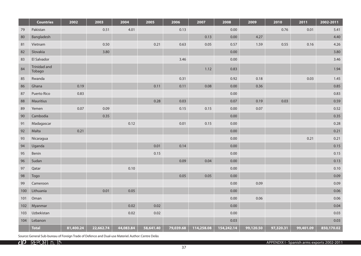|     | <b>Countries</b>       | 2002      | 2003      | 2004      | 2005      | 2006      | 2007       | 2008       | 2009      | 2010      | 2011      | 2002-2011  |
|-----|------------------------|-----------|-----------|-----------|-----------|-----------|------------|------------|-----------|-----------|-----------|------------|
| 79  | Pakistan               |           | 0.51      | 4.01      |           | 0.13      |            | 0.00       |           | 0.76      | 0.01      | 5.41       |
| 80  | Bangladesh             |           |           |           |           |           | 0.13       | 0.00       | 4.27      |           |           | 4.40       |
| 81  | Vietnam                |           | 0.50      |           | 0.21      | 0.63      | 0.05       | 0.57       | 1.59      | 0.55      | 0.16      | 4.26       |
| 82  | Slovakia               |           | 3.80      |           |           |           |            | 0.00       |           |           |           | 3.80       |
| 83  | El Salvador            |           |           |           |           | 3.46      |            | 0.00       |           |           |           | 3.46       |
| 84  | Trinidad and<br>Tobago |           |           |           |           |           | 1.12       | 0.83       |           |           |           | 1.94       |
| 85  | Rwanda                 |           |           |           |           | 0.31      |            | 0.92       | 0.18      |           | 0.03      | 1.45       |
| 86  | Ghana                  | 0.19      |           |           | 0.11      | 0.11      | 0.08       | 0.00       | 0.36      |           |           | 0.85       |
| 87  | Puerto Rico            | 0.83      |           |           |           |           |            | 0.00       |           |           |           | 0.83       |
| 88  | Mauritius              |           |           |           | 0.28      | 0.03      |            | 0.07       | 0.19      | 0.03      |           | 0.59       |
| 89  | Yemen                  | 0.07      | 0.09      |           |           | 0.15      | 0.15       | 0.00       | 0.07      |           |           | 0.52       |
| 90  | Cambodia               |           | 0.35      |           |           |           |            | 0.00       |           |           |           | 0.35       |
| 91  | Madagascar             |           |           | 0.12      |           | 0.01      | 0.15       | 0.00       |           |           |           | 0.28       |
| 92  | Malta                  | 0.21      |           |           |           |           |            | 0.00       |           |           |           | 0.21       |
| 93  | Nicaragua              |           |           |           |           |           |            | 0.00       |           |           | 0.21      | 0.21       |
| 94  | Uganda                 |           |           |           | 0.01      | 0.14      |            | 0.00       |           |           |           | 0.15       |
| 95  | Benin                  |           |           |           | 0.15      |           |            | 0.00       |           |           |           | 0.15       |
| 96  | Sudan                  |           |           |           |           | 0.09      | 0.04       | 0.00       |           |           |           | 0.13       |
| 97  | Qatar                  |           |           | 0.10      |           |           |            | 0.00       |           |           |           | 0.10       |
| 98  | Togo                   |           |           |           |           | 0.05      | 0.05       | 0.00       |           |           |           | 0.09       |
| 99  | Cameroon               |           |           |           |           |           |            | 0.00       | 0.09      |           |           | 0.09       |
| 100 | Lithuania              |           | 0.01      | 0.05      |           |           |            | 0.00       |           |           |           | 0.06       |
| 101 | Oman                   |           |           |           |           |           |            | 0.00       | 0.06      |           |           | 0.06       |
| 102 | Myanmar                |           |           | 0.02      | 0.02      |           |            | 0.00       |           |           |           | 0.04       |
| 103 | Uzbekistan             |           |           | 0.02      | 0.02      |           |            | 0.00       |           |           |           | 0.03       |
| 104 | Lebanon                |           |           |           |           |           |            | 0.03       |           |           |           | 0.03       |
|     | <b>Total</b>           | 81,400.24 | 22,662.74 | 44,083.84 | 58,641.40 | 79,039.68 | 114,258.08 | 154,242.14 | 99,120.50 | 97,320.31 | 99,401.09 | 850,170.02 |

Source: General Sub-bureau of Foreign Trade of Defence and Dual-use Materiel. Author: Centre Delàs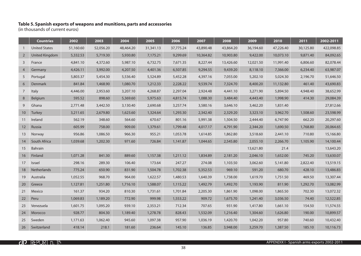#### **Table 5. Spanish exports of weapons and munitions, parts and accessories**

(in thousands of current euros)

|                | <b>Countries</b>     | 2002      | 2003      | 2004      | 2005      | 2006      | 2007      | 2008      | 2009      | 2010      | 2011      | 2002-2011  |
|----------------|----------------------|-----------|-----------|-----------|-----------|-----------|-----------|-----------|-----------|-----------|-----------|------------|
| $\mathbf{1}$   | <b>United States</b> | 51,160.60 | 52,056.20 | 48,464.20 | 31,341.13 | 37,775.24 | 43,890.48 | 43,864.20 | 36,194.60 | 47,226.40 | 30,125.80 | 422,098.85 |
| $\overline{2}$ | United Kingdom       | 5,332.53  | 5,719.30  | 5,930.80  | 7,175.21  | 9,299.69  | 10,364.82 | 10,903.80 | 9,422.00  | 10,073.10 | 9,871.40  | 84,092.65  |
| 3              | France               | 4,841.10  | 4,372.60  | 5,987.10  | 6,732.75  | 7,671.35  | 8,227.44  | 13,426.60 | 12,021.50 | 11,991.40 | 6,806.60  | 82,078.44  |
| $\overline{4}$ | Germany              | 4,426.11  | 3,992.00  | 4,207.50  | 4,401.36  | 6,507.85  | 9,294.55  | 9,439.20  | 8,118.10  | 7,366.00  | 6,234.40  | 63,987.07  |
| 5              | Portugal             | 5,803.37  | 5,454.30  | 5,536.40  | 5,524.89  | 5,452.28  | 4,397.16  | 7,055.00  | 5,202.10  | 5,024.30  | 2,196.70  | 51,646.50  |
| 6              | Denmark              | 841.84    | 1,468.90  | 1,080.70  | 1,212.33  | 2,228.22  | 9,539.74  | 7,324.70  | 8,400.20  | 11,132.80 | 461.40    | 43,690.83  |
| $\overline{7}$ | Italy                | 4,446.00  | 2,953.60  | 3,207.10  | 4,268.87  | 2,297.04  | 2,924.48  | 4,441.10  | 3,271.90  | 5,894.50  | 4,948.40  | 38,652.99  |
| 8              | Belgium              | 595.52    | 898.60    | 5,369.60  | 5,975.63  | 4,815.74  | 1,088.30  | 3,484.40  | 4,443.40  | 1,998.90  | 414.30    | 29,084.39  |
| 9              | Ghana                | 2,771.48  | 3,442.50  | 3,130.40  | 2,690.68  | 3,257.74  | 3,580.16  | 3,646.10  | 3,462.20  | 1,831.40  |           | 27,812.66  |
| 10             | Turkey               | 3,211.65  | 2,679.80  | 1,623.60  | 1,324.64  | 1,293.30  | 2,342.40  | 2,329.20  | 3,323.10  | 3,962.70  | 1,508.60  | 23,598.99  |
| 11             | Ireland              | 562.19    | 348.60    | 564.60    | 670.67    | 801.16    | 5,991.38  | 1,504.50  | 2,444.40  | 6,747.90  | 662.20    | 20,297.60  |
| 12             | Russia               | 605.99    | 758.00    | 909.00    | 1,379.61  | 1,799.48  | 4,017.17  | 4,791.90  | 2,344.20  | 1,690.50  | 1,768.80  | 20,064.65  |
| 13             | Norway               | 956.86    | 1,086.50  | 966.30    | 955.21    | 1,053.78  | 1,614.85  | 1,862.80  | 3,518.60  | 2,441.10  | 710.80    | 15,166.80  |
| 14             | South Africa         | 1,039.68  | 1,202.30  | 971.60    | 726.84    | 1,141.87  | 1,044.65  | 2,545.80  | 2,055.10  | 2,266.70  | 1,105.90  | 14,100.44  |
| 15             | Bahrain              |           |           |           |           |           |           |           | 13,621.80 | 21.4      |           | 13,643.20  |
| 16             | Finland              | 1,071.28  | 841.30    | 889.60    | 1,157.38  | 1,211.12  | 1,834.89  | 2,181.20  | 2,046.10  | 1,652.00  | 745.20    | 13,630.07  |
| 17             | Israel               | 298.16    | 289.30    | 106.40    | 173.64    | 247.27    | 274.08    | 1,103.50  | 3,062.60  | 5,141.80  | 2,822.40  | 13,519.15  |
| 18             | Netherlands          | 775.24    | 650.90    | 831.90    | 1,504.78  | 1,702.38  | 5,352.53  | 969.10    | 591.20    | 680.70    | 428.10    | 13,486.83  |
| 19             | Australia            | 1,052.55  | 968.70    | 964.00    | 1,622.57  | 1,480.53  | 1,640.39  | 1,738.00  | 1,619.70  | 1,751.50  | 469.50    | 13,307.44  |
| 20             | Greece               | 1,127.81  | 1,251.80  | 1,716.10  | 1,588.07  | 1,115.22  | 1,492.79  | 1,492.70  | 1,193.90  | 811.90    | 1,292.70  | 13,082.99  |
| 21             | Mexico               | 161.37    | 934.20    | 810.30    | 1,731.61  | 1,701.84  | 2,205.30  | 1,861.90  | 1,098.00  | 1,865.50  | 702.30    | 13,072.32  |
| 22             | Peru                 | 1,069.83  | 1,189.20  | 772.90    | 999.98    | 1,553.22  | 909.72    | 1,675.70  | 1,241.40  | 3,036.50  | 74.40     | 12,522.85  |
| 23             | Venezuela            | 1,601.75  | 1,095.20  | 939.10    | 2,353.21  | 712.34    | 707.65    | 931.90    | 1,417.80  | 1,661.10  | 154.50    | 11,574.55  |
| 24             | Morocco              | 928.77    | 804.30    | 1,189.40  | 1,278.78  | 828.43    | 1,532.09  | 1,216.40  | 1,304.60  | 1,626.80  | 190.00    | 10,899.57  |
| 25             | Sweden               | 1,171.63  | 1,062.40  | 945.60    | 1,097.38  | 957.90    | 1,036.19  | 1,420.70  | 1,042.20  | 957.80    | 740.60    | 10,432.40  |
| 26             | Switzerland          | 418.14    | 218.1     | 181.60    | 236.64    | 145.10    | 136.85    | 3,948.00  | 3,259.70  | 1,387.50  | 185.10    | 10,116.73  |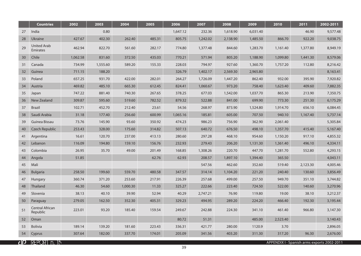|    | <b>Countries</b>                      | 2002     | 2003     | 2004     | 2005   | 2006     | 2007     | 2008     | 2009     | 2010     | 2011     | 2002-2011 |
|----|---------------------------------------|----------|----------|----------|--------|----------|----------|----------|----------|----------|----------|-----------|
| 27 | India                                 |          | 0.80     |          |        | 1,647.12 | 232.36   | 1,618.90 | 6,031.40 |          | 46.90    | 9,577.48  |
| 28 | Ukraine                               | 427.67   | 402.30   | 262.40   | 485.31 | 805.75   | 1,242.02 | 2,138.90 | 1,485.50 | 866.70   | 922.20   | 9,038.75  |
| 29 | <b>United Arab</b><br><b>Emirates</b> | 462.94   | 822.70   | 561.60   | 282.17 | 774.80   | 1,377.48 | 844.60   | 1,283.70 | 1,161.40 | 1,377.80 | 8,949.19  |
| 30 | Chile                                 | 1,062.58 | 831.60   | 372.50   | 435.03 | 770.21   | 571.94   | 805.20   | 1,188.90 | 1,099.80 | 1,441.30 | 8,579.06  |
| 31 | Canada                                | 734.99   | 1,555.60 | 589.20   | 155.33 | 228.03   | 794.97   | 927.60   | 1,360.70 | 1,757.20 | 112.80   | 8,216.42  |
| 32 | Guinea                                | 711.15   | 188.20   |          |        | 326.79   | 1,402.17 | 2,569.30 | 2,965.80 |          |          | 8,163.41  |
| 33 | Poland                                | 657.25   | 931.70   | 422.00   | 282.01 | 264.27   | 1,726.09 | 1,447.20 | 862.40   | 932.00   | 395.90   | 7,920.82  |
| 34 | Austria                               | 469.82   | 485.10   | 665.30   | 612.45 | 824.41   | 1,060.67 | 973.20   | 758.40   | 1,623.40 | 409.60   | 7,882.35  |
| 35 | Japan                                 | 747.22   | 881.40   | 740.30   | 267.65 | 378.25   | 677.03   | 1,542.00 | 1,037.70 | 865.30   | 213.90   | 7,350.75  |
| 36 | New Zealand                           | 309.87   | 595.60   | 519.60   | 782.52 | 879.32   | 522.88   | 841.00   | 699.90   | 773.30   | 251.30   | 6,175.29  |
| 37 | <b>Brazil</b>                         | 102.71   | 452.70   | 212.40   | 23.61  | 54.56    | 268.97   | 873.90   | 1,524.80 | 1,914.70 | 656.10   | 6,084.45  |
| 38 | Saudi Arabia                          | 31.18    | 177.40   | 256.60   | 600.99 | 1,065.16 | 185.81   | 605.00   | 707.50   | 940.10   | 1,167.40 | 5,737.14  |
| 39 | Guinea Bissau                         | 73.76    | 145.90   | 93.60    | 350.92 | 474.23   | 986.23   | 756.90   | 362.90   | 2,061.40 |          | 5,305.84  |
| 40 | Czech Republic                        | 253.43   | 328.00   | 175.60   | 314.82 | 507.13   | 640.72   | 676.50   | 498.10   | 1,357.70 | 415.40   | 5,167.40  |
| 41 | Argentina                             | 16.61    | 120.70   | 237.00   | 413.13 | 280.60   | 297.28   | 468.10   | 954.60   | 1,150.20 | 917.10   | 4,855.32  |
| 42 | Lebanon                               | 116.09   | 194.80   | 159.10   | 156.76 | 232.93   | 279.43   | 206.20   | 1,131.30 | 1,361.40 | 496.10   | 4,334.11  |
| 43 | Colombia                              | 26.95    | 35.70    | 49.00    | 201.49 | 168.85   | 1,308.26 | 220.70   | 447.70   | 1,281.70 | 552.80   | 4,293.15  |
| 44 | Angola                                | 51.85    |          |          | 62.76  | 62.93    | 208.57   | 1,897.10 | 1,394.40 | 365.50   |          | 4,043.11  |
| 45 | Mali                                  |          |          |          |        |          | 547.56   | 462.60   | 352.60   | 519.40   | 2,123.30 | 4,005.46  |
| 46 | <b>Bulgaria</b>                       | 258.50   | 199.60   | 559.70   | 480.58 | 347.57   | 314.14   | 1,104.20 | 221.20   | 240.40   | 130.60   | 3,856.49  |
| 47 | Hungary                               | 360.74   | 371.20   | 253.60   | 217.91 | 226.39   | 257.68   | 499.00   | 257.50   | 949.70   | 351.10   | 3,744.82  |
| 48 | Thailand                              | 46.30    | 54.60    | 1,000.30 | 11.33  | 325.27   | 222.66   | 223.40   | 724.50   | 522.00   | 140.60   | 3,270.96  |
| 49 | Slovenia                              | 38.13    | 40.10    | 39.90    | 52.94  | 40.29    | 2,747.21 | 76.90    | 119.80   | 19.00    | 38.10    | 3,212.37  |
| 50 | Paraguay                              | 279.05   | 162.50   | 352.30   | 405.31 | 329.23   | 494.95   | 289.20   | 224.20   | 466.40   | 192.30   | 3,195.44  |
| 51 | Central African<br>Republic           | 223.01   | 93.20    | 185.40   | 159.54 | 249.67   | 242.88   | 224.30   | 341.10   | 461.40   | 966.80   | 3,147.30  |
| 52 | Oman                                  |          |          |          |        | 80.72    | 51.31    |          | 485.00   | 2,523.40 |          | 3,140.43  |
| 53 | <b>Bolivia</b>                        | 189.14   | 139.20   | 181.60   | 223.43 | 336.31   | 421.77   | 280.00   | 1120.9   | 3.70     |          | 2,896.05  |
| 54 | Cyprus                                | 307.64   | 182.00   | 337.70   | 174.01 | 205.09   | 341.56   | 403.20   | 311.30   | 317.20   | 96.30    | 2,676.00  |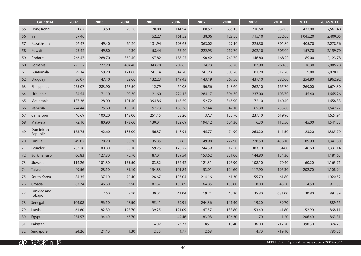|    | <b>Countries</b>       | 2002   | 2003   | 2004   | 2005   | 2006   | 2007   | 2008   | 2009   | 2010   | 2011     | 2002-2011 |
|----|------------------------|--------|--------|--------|--------|--------|--------|--------|--------|--------|----------|-----------|
| 55 | Hong Kong              | 1.67   | 3.50   | 23.30  | 70.80  | 141.94 | 180.57 | 635.10 | 710.60 | 357.00 | 437.00   | 2,561.48  |
| 56 | Iran                   | 27.40  |        |        | 52.27  | 161.52 | 38.06  | 128.50 | 715.10 | 232.00 | 1,045.20 | 2,400.05  |
| 57 | Kazakhstan             | 26.47  | 49.40  | 64.20  | 131.94 | 193.63 | 363.02 | 427.10 | 225.30 | 391.80 | 405.70   | 2,278.56  |
| 58 | Kuwait                 | 95.42  | 49.80  | 0.30   | 58.44  | 55.40  | 222.93 | 212.70 | 802.10 | 505.00 | 157.70   | 2,159.79  |
| 59 | Andorra                | 266.47 | 288.70 | 350.40 | 197.82 | 185.27 | 190.42 | 240.70 | 146.80 | 168.20 | 89.00    | 2,123.78  |
| 60 | Romania                | 295.52 | 277.20 | 404.40 | 343.78 | 209.65 | 24.73  | 63.70  | 187.90 | 260.60 | 18.30    | 2,085.78  |
| 61 | Guatemala              | 99.14  | 159.20 | 171.80 | 241.14 | 344.20 | 241.23 | 305.20 | 181.20 | 317.20 | 9.80     | 2,070.11  |
| 62 | Uruguay                | 26.07  | 47.40  | 22.60  | 132.23 | 149.43 | 143.19 | 367.50 | 437.10 | 382.60 | 254.80   | 1,962.92  |
| 63 | Philippines            | 255.07 | 283.90 | 167.50 | 12.79  | 64.08  | 50.56  | 143.60 | 262.10 | 165.70 | 269.00   | 1,674.30  |
| 64 | Lithuania              | 84.54  | 71.10  | 99.30  | 121.60 | 224.15 | 284.17 | 394.30 | 237.00 | 103.70 | 45.40    | 1,665.26  |
| 65 | Mauritania             | 187.36 | 128.00 | 191.40 | 394.86 | 145.59 | 52.72  | 345.90 | 72.10  | 140.40 |          | 1,658.33  |
| 66 | Namibia                | 274.44 | 75.60  | 130.20 | 197.73 | 166.36 | 57.44  | 342.10 | 165.30 | 233.60 |          | 1,642.77  |
| 67 | Cameroon               | 46.69  | 100.20 | 148.00 | 251.15 | 33.20  | 37.7   | 150.70 | 237.40 | 619.90 |          | 1,624.94  |
| 68 | Malaysia               | 72.10  | 80.90  | 173.60 | 130.04 | 122.69 | 194.12 | 604.30 | 6.30   | 112.50 | 45.00    | 1,541.55  |
| 69 | Dominican<br>Republic  | 153.75 | 192.60 | 185.00 | 156.87 | 148.91 | 45.77  | 74.90  | 263.20 | 141.50 | 23.20    | 1,385.70  |
| 70 | Tunisia                | 49.02  | 28.20  | 38.70  | 35.85  | 37.65  | 149.98 | 227.90 | 228.50 | 456.10 | 89.90    | 1,341.80  |
| 71 | Ecuador                | 203.18 | 80.80  | 58.10  | 59.25  | 178.22 | 244.59 | 12.50  | 383.10 | 64.80  | 46.60    | 1,331.14  |
| 72 | <b>Burkina Faso</b>    | 66.83  | 127.80 | 76.70  | 87.04  | 139.54 | 153.62 | 231.00 | 144.80 | 154.30 |          | 1,181.63  |
| 73 | Slovakia               | 114.26 | 101.80 | 155.50 | 83.82  | 152.42 | 121.31 | 195.90 | 108.10 | 70.40  | 60.20    | 1,163.71  |
| 74 | Taiwan                 | 49.56  | 28.10  | 81.10  | 154.83 | 101.84 | 53.01  | 124.60 | 117.90 | 195.30 | 202.70   | 1,108.94  |
| 75 | South Korea            | 84.35  | 137.10 | 72.40  | 126.67 | 107.04 | 214.16 | 61.30  | 155.70 | 61.80  |          | 1,020.52  |
| 76 | Croatia                | 67.74  | 46.60  | 53.50  | 87.67  | 106.89 | 164.85 | 108.80 | 118.00 | 48.50  | 114.50   | 917.05    |
| 77 | Trinidad and<br>Tobago |        | 7.60   | 7.10   | 30.04  | 41.04  | 19.21  | 40.30  | 35.80  | 681.00 | 30.80    | 892.89    |
| 78 | Senegal                | 104.08 | 96.10  | 48.50  | 95.41  | 50.91  | 244.36 | 141.40 | 19.20  | 89.70  |          | 889.66    |
| 79 | Latvia                 | 61.80  | 82.80  | 128.70 | 39.25  | 121.09 | 147.57 | 138.80 | 53.40  | 41.80  | 52.90    | 868.11    |
| 80 | Egypt                  | 254.57 | 94.40  | 66.70  |        | 49.46  | 83.08  | 106.30 | 1.70   | 1.20   | 206.40   | 863.81    |
| 81 | Pakistan               |        |        |        | 4.02   | 73.73  | 85.1   | 18.40  | 36.00  | 217.20 | 390.30   | 824.75    |
| 82 | Singapore              | 24.26  | 21.40  | 1.30   | 2.35   | 4.77   | 2.68   |        | 4.70   | 719.10 |          | 780.56    |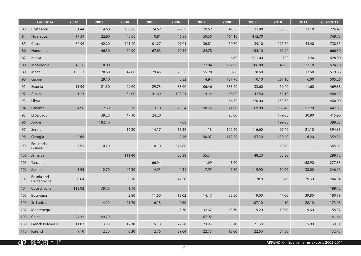|     | <b>Countries</b>          | 2002   | 2003   | 2004   | 2005   | 2006   | 2007   | 2008   | 2009   | 2010   | 2011   | 2002-2011 |
|-----|---------------------------|--------|--------|--------|--------|--------|--------|--------|--------|--------|--------|-----------|
| 83  | Costa Rica                | 81.44  | 114.60 | 103.80 | 24.62  | 79.59  | 129.62 | 41.50  | 32.90  | 135.30 | 33.10  | 776.47    |
| 84  | Nicaragua                 | 17.39  | 22.90  | 45.60  | 0.81   | 46.88  | 59.35  | 164.10 | 412.70 |        |        | 769.73    |
| 85  | Cuba                      | 80.96  | 42.20  | 121.20 | 101.27 | 97.01  | 36.81  | 50.70  | 39.10  | 125.70 | 43.40  | 738.35    |
| 86  | Honduras                  |        | 46.30  | 70.90  | 67.83  | 79.58  | 184.78 |        | 155.10 | 61.90  |        | 666.39    |
| 87  | Kenya                     |        |        |        |        |        |        | 6.60   | 511.00 | 110.00 | 1.20   | 628.80    |
| 88  | Macedonia                 | 46.56  | 18.00  |        |        |        | 127.94 | 102.90 | 106.80 | 49.90  | 72.10  | 524.20    |
| 89  | Malta                     | 193.53 | 128.60 | 47.00  | 29.45  | 23.30  | 55.28  | 0.60   | 28.60  |        | 13.50  | 519.86    |
| 90  | Gabon                     |        | 29.10  |        |        | 0.32   | 4.94   | 187.70 | 10.10  | 267.10 | 6.00   | 505.26    |
| 91  | Estonia                   | 11.99  | 21.30  | 29.60  | 29.73  | 33.00  | 106.46 | 133.20 | 33.60  | 59.40  | 11.60  | 469.88    |
| 92  | Albania                   | 1.23   |        | 34.00  | 141.69 | 108.21 | 41.4   | 48.00  | 42.50  | 51.10  |        | 468.13    |
| 93  | Libya                     |        |        |        |        |        |        | 86.70  | 220.00 | 153.30 |        | 460.00    |
| 94  | Panama                    | 4.96   | 2.60   | 3.70   | 3.10   | 25.54  | 50.35  | 71.00  | 69.00  | 165.40 | 52.20  | 447.85    |
| 95  | El Salvador               |        | 39.20  | 47.10  | 24.20  |        |        | 95.00  |        | 179.60 | 30.80  | 415.90    |
| 96  | Jordan                    |        | 192.40 |        |        | 7.68   |        |        |        | 199.00 |        | 399.08    |
| 97  | Serbia                    |        |        | 16.30  | 14.17  | 13.36  | 13     | 102.40 | 116.60 | 97.40  | 21.10  | 394.33    |
| 98  | Georgia                   | 0.68   |        |        |        | 2.46   | 50.07  | 112.20 | 57.30  | 130.40 | 6.20   | 359.31    |
| 99  | Equatorial<br>Guinea      | 7.95   | 0.20   |        | 0.10   | 326.80 |        |        |        | 10.60  |        | 345.65    |
| 100 | Jamaica                   |        |        | 111.40 |        | 30.38  | 55.34  |        | 48.20  | 53.80  |        | 299.12    |
| 101 | Tanzania                  |        |        |        | 66.04  |        | 11.69  | 41.20  |        |        | 158.90 | 277.83    |
| 102 | Zambia                    | 3.95   | 2.70   | 46.30  | 4.05   | 4.31   | 7.95   | 7.80   | 119.90 | 12.00  | 38.00  | 246.96    |
| 103 | Bosnia and<br>Herzegovina | 0.64   |        | 50.10  |        | 47.50  |        |        | 78.8   | 38.60  | 29.30  | 244.94    |
| 104 | Côte d'Ivoire             | 118.92 | 79.70  | 1.10   |        |        |        |        |        |        |        | 199.72    |
| 105 | Botswana                  |        |        | 2.80   | 11.60  | 13.02  | 14.47  | 32.50  | 19.00  | 47.00  | 39.80  | 180.19    |
| 106 | Sri Lanka                 |        | 4.20   | 21.70  | 6.18   | 2.60   |        |        | 107.10 | 4.10   | 28.10  | 173.98    |
| 107 | Montenegro                |        |        |        |        | 8.30   | 32.67  | 68.70  | 9.20   | 19.90  | 19.60  | 158.37    |
| 108 | China                     | 24.32  | 49.20  |        |        |        | 67.92  |        |        |        |        | 141.44    |
| 109 | French Polynesia          | 11.02  | 13.00  | 12.30  | 6.18   | 27.28  | 23.93  | 8.10   | 21.30  |        | 15.90  | 139.01    |
| 110 | Iceland                   | 9.10   | 2.50   | 6.30   | 2.76   | 29.64  | 22.75  | 12.60  | 22.60  | 24.50  |        | 132.75    |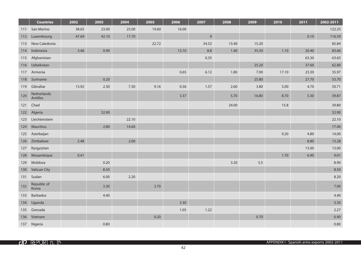|     | <b>Countries</b>        | 2002  | 2003  | 2004  | 2005  | 2006  | 2007    | 2008  | 2009    | 2010  | 2011  | 2002-2011 |
|-----|-------------------------|-------|-------|-------|-------|-------|---------|-------|---------|-------|-------|-----------|
| 111 | San Marino              | 38.65 | 23.00 | 25.00 | 19.60 | 16.00 |         |       |         |       |       | 122.25    |
| 112 | Luxembourg              | 47.69 | 42.10 | 17.70 |       |       | $9$     |       |         |       | 0.10  | 116.59    |
| 113 | New Caledonia           |       |       |       | 22.72 |       | 34.52   | 13.40 | 15.20   |       |       | 85.84     |
| 114 | Indonesia               | 3.46  | 0.90  |       |       | 12.10 | $8.8\,$ | 1.40  | 35.50   | 1.10  | 20.40 | 83.66     |
| 115 | Afghanistan             |       |       |       |       |       | 0.35    |       |         |       | 63.30 | 63.65     |
| 116 | Uzbekistan              |       |       |       |       |       |         |       | 25.20   |       | 37.60 | 62.80     |
| 117 | Armenia                 |       |       |       |       | 0.65  | 6.12    | 1.80  | 7.00    | 17.10 | 23.30 | 55.97     |
| 118 | Suriname                |       | 0.20  |       |       |       |         |       | 25.80   |       | 27.70 | 53.70     |
| 119 | Gibraltar               | 13.92 | 2.30  | 7.30  | 9.16  | 0.36  | 1.57    | 2.60  | 3.80    | 5.00  | 4.70  | 50.71     |
| 120 | Netherlands<br>Antilles |       |       |       |       | 3.37  |         | 5.70  | 16.80   | 8.70  | 5.30  | 39.87     |
| 121 | Chad                    |       |       |       |       |       |         | 24.00 |         | 15.8  |       | 39.80     |
| 122 | Algeria                 |       | 32.90 |       |       |       |         |       |         |       |       | 32.90     |
| 123 | Liechtenstein           |       |       | 22.10 |       |       |         |       |         |       |       | 22.10     |
| 124 | <b>Mauritius</b>        |       | 2.80  | 14.60 |       |       |         |       |         |       |       | 17.40     |
| 125 | Azerbaijan              |       |       |       |       |       |         |       |         | 9.20  | 4.80  | 14.00     |
| 126 | Zimbabwe                | 2.48  |       | 2.00  |       |       |         |       |         |       | 8.80  | 13.28     |
| 127 | Kyrgyzstan              |       |       |       |       |       |         |       |         |       | 13.00 | 13.00     |
| 128 | Mozambique              | 0.41  |       |       |       |       |         |       |         | 1.70  | 6.90  | 9.01      |
| 129 | Moldova                 |       | 0.20  |       |       |       |         | 3.20  | $5.5\,$ |       |       | 8.90      |
| 130 | <b>Vatican City</b>     |       | 8.50  |       |       |       |         |       |         |       |       | 8.50      |
| 131 | Sudan                   |       | 6.00  | 2.20  |       |       |         |       |         |       |       | 8.20      |
| 132 | Republic of<br>Korea    |       | 3.30  |       | 3.70  |       |         |       |         |       |       | 7.00      |
| 133 | Barbados                |       | 4.40  |       |       |       |         |       |         |       |       | 4.40      |
| 134 | Uganda                  |       |       |       |       | 3.30  |         |       |         |       |       | 3.30      |
| 135 | Grenada                 |       |       |       |       | 1.05  | 1.22    |       |         |       |       | 2.27      |
| 136 | Vietnam                 |       |       |       | 0.20  |       |         |       | 0.70    |       |       | 0.90      |
|     | 137 Nigeria             |       | 0.80  |       |       |       |         |       |         |       |       | 0.80      |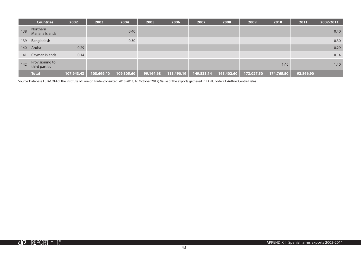|     | <b>Countries</b>                 | 2002       | 2003       | 2004       | 2005      | 2006       | 2007       | 2008       | 2009       | 2010       | 2011      | 2002-2011 |
|-----|----------------------------------|------------|------------|------------|-----------|------------|------------|------------|------------|------------|-----------|-----------|
| 138 | Northern<br>Mariana Islands      |            |            | 0.40       |           |            |            |            |            |            |           | 0.40      |
| 139 | Bangladesh                       |            |            | 0.30       |           |            |            |            |            |            |           | 0.30      |
|     | 140 Aruba                        | 0.29       |            |            |           |            |            |            |            |            |           | 0.29      |
|     | 141 Cayman Islands               | 0.14       |            |            |           |            |            |            |            |            |           | 0.14      |
| 142 | Provisioning to<br>third parties |            |            |            |           |            |            |            |            | 1.40       |           | 1.40      |
|     | <b>Total</b>                     | 107,943.43 | 108,699.40 | 109,305.60 | 99,164.68 | 113,490.19 | 149,833.14 | 165,402.60 | 173,027.50 | 174,765.50 | 92,866.90 |           |

Source: Database ESTACOM of the Institute of Foreign Trade (consulted: 2010-2011, 16 October 2012). Value of the exports gathered in TARIC code 93. Author: Centre Delàs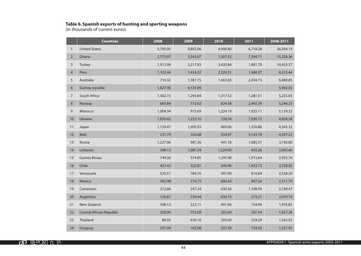#### **Table 6. Spanish exports of hunting and sporting weapons**

(in thousands of current euros)

|                | <b>Countries</b>                | 2008     | 2009     | 2010     | 2011     | 2008-2011 |
|----------------|---------------------------------|----------|----------|----------|----------|-----------|
| $\mathbf{1}$   | <b>United States</b>            | 5,795.05 | 9,892.06 | 4,098.80 | 6,718.28 | 26,504.19 |
| $\overline{2}$ | Ghana                           | 2,773.07 | 3,543.07 | 1,507.52 | 7,504.71 | 15,328.36 |
| 3              | Turkey                          | 1,912.99 | 3,217.83 | 3,420.84 | 1,881.70 | 10,433.37 |
| $\overline{4}$ | Peru                            | 1,102.44 | 1,424.32 | 2,320.31 | 1,468.37 | 6,315.44  |
| 5              | Australia                       | 710.32   | 1,381.15 | 1,563.65 | 2,434.73 | 6,089.85  |
| $\sqrt{6}$     | Guinea republic                 | 1,827.96 | 4,135.09 |          |          | 5,963.05  |
| $\overline{7}$ | South Africa                    | 1,362.15 | 1,293.84 | 1,317.52 | 1,281.51 | 5,255.03  |
| $\,8\,$        | Norway                          | 683.84   | 772.62   | 824.38   | 2,965.39 | 5,246.23  |
| $\mathsf 9$    | Morocco                         | 1,004.34 | 975.69   | 1,224.19 | 1,925.11 | 5,129.32  |
| 10             | Ukraine                         | 1,850.43 | 1,223.16 | 728.54   | 1,056.15 | 4,858.28  |
| 11             | Japan                           | 1,129.47 | 1,095.93 | 869.06   | 1,250.86 | 4,345.32  |
| 12             | Mali                            | 231.79   | 356.68   | 534.97   | 3,143.78 | 4,267.22  |
| 13             | Russia                          | 1,227.06 | 987.26   | 441.18   | 1,085.31 | 3,740.80  |
| 14             | Lebanon                         | 348.12   | 1,087.24 | 1,524.03 | 643.26   | 3,602.66  |
| 15             | Guinea Bissau                   | 149.30   | 374.85   | 1,395.98 | 1,015.64 | 2,935.76  |
| 16             | Chile                           | 431.43   | 322.81   | 540.96   | 1,433.73 | 2,728.92  |
| 17             | Venezuela                       | 535.57   | 784.70   | 397.09   | 810.84   | 2,528.20  |
| 18             | Mexico                          | 582.98   | 274.73   | 606.43   | 847.56   | 2,311.70  |
| 19             | Cameroon                        | 212.68   | 247.24   | 630.56   | 1,108.99 | 2,199.47  |
| 20             | Argentina                       | 126.81   | 739.44   | 639.73   | 573.21   | 2,079.19  |
| 21             | New Zealand                     | 508.12   | 222.11   | 491.66   | 754.96   | 1,976.85  |
| 22             | <b>Central African Republic</b> | 250.90   | 753.09   | 355.69   | 297.59   | 1,657.28  |
| 23             | Thailand                        | 80.05    | 630.10   | 293.60   | 559.29   | 1,563.03  |
| 24             | Uruguay                         | 291.09   | 165.08   | 337.58   | 734.20   | 1,527.95  |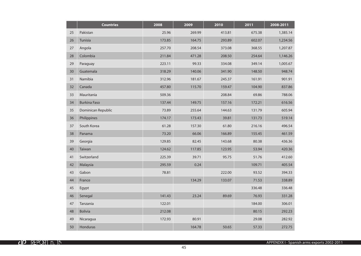|    | <b>Countries</b>    | 2008   | 2009   | 2010   | 2011   | 2008-2011 |
|----|---------------------|--------|--------|--------|--------|-----------|
| 25 | Pakistan            | 25.96  | 269.99 | 413.81 | 675.38 | 1,385.14  |
| 26 | Tunisia             | 173.85 | 164.75 | 293.89 | 602.07 | 1,234.56  |
| 27 | Angola              | 257.70 | 208.54 | 373.08 | 368.55 | 1,207.87  |
| 28 | Colombia            | 211.84 | 471.28 | 208.50 | 254.64 | 1,146.26  |
| 29 | Paraguay            | 223.11 | 99.33  | 334.08 | 349.14 | 1,005.67  |
| 30 | Guatemala           | 318.29 | 140.06 | 341.90 | 148.50 | 948.74    |
| 31 | Namibia             | 312.96 | 181.67 | 245.37 | 161.91 | 901.91    |
| 32 | Canada              | 457.80 | 115.70 | 159.47 | 104.90 | 837.86    |
| 33 | Mauritania          | 509.36 |        | 208.84 | 69.86  | 788.06    |
| 34 | <b>Burkina Faso</b> | 137.44 | 149.75 | 157.16 | 172.21 | 616.56    |
| 35 | Dominican Republic  | 73.89  | 255.64 | 144.63 | 131.79 | 605.94    |
| 36 | Philippines         | 174.17 | 173.43 | 39.81  | 131.73 | 519.14    |
| 37 | South Korea         | 61.28  | 157.30 | 61.80  | 216.16 | 496.54    |
| 38 | Panama              | 73.20  | 66.06  | 166.89 | 155.45 | 461.59    |
| 39 | Georgia             | 129.85 | 82.45  | 143.68 | 80.38  | 436.36    |
| 40 | Taiwan              | 124.62 | 117.85 | 123.95 | 53.94  | 420.36    |
| 41 | Switzerland         | 225.39 | 39.71  | 95.75  | 51.76  | 412.60    |
| 42 | Malaysia            | 295.59 | 0.24   |        | 109.71 | 405.54    |
| 43 | Gabon               | 78.81  |        | 222.00 | 93.52  | 394.33    |
| 44 | France              |        | 134.29 | 133.07 | 71.53  | 338.89    |
| 45 | Egypt               |        |        |        | 336.48 | 336.48    |
| 46 | Senegal             | 141.43 | 23.24  | 89.69  | 76.93  | 331.28    |
| 47 | Tanzania            | 122.01 |        |        | 184.00 | 306.01    |
| 48 | <b>Bolivia</b>      | 212.08 |        |        | 80.15  | 292.23    |
| 49 | Nicaragua           | 172.93 | 80.91  |        | 29.08  | 282.92    |
| 50 | <b>Honduras</b>     |        | 164.78 | 50.65  | 57.33  | 272.75    |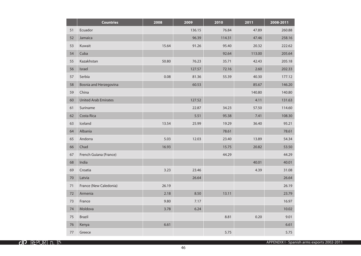|    | <b>Countries</b>            | 2008  | 2009   | 2010   | 2011   | 2008-2011 |
|----|-----------------------------|-------|--------|--------|--------|-----------|
| 51 | Ecuador                     |       | 136.15 | 76.84  | 47.89  | 260.88    |
| 52 | Jamaica                     |       | 96.39  | 114.31 | 47.46  | 258.16    |
| 53 | Kuwait                      | 15.64 | 91.26  | 95.40  | 20.32  | 222.62    |
| 54 | Cuba                        |       |        | 92.64  | 113.00 | 205.64    |
| 55 | Kazakhstan                  | 50.80 | 76.23  | 35.71  | 42.43  | 205.18    |
| 56 | Israel                      |       | 127.57 | 72.16  | 2.60   | 202.33    |
| 57 | Serbia                      | 0.08  | 81.36  | 55.39  | 40.30  | 177.12    |
| 58 | Bosnia and Herzegovina      |       | 60.53  |        | 85.67  | 146.20    |
| 59 | China                       |       |        |        | 140.80 | 140.80    |
| 60 | <b>United Arab Emirates</b> |       | 127.52 |        | 4.11   | 131.63    |
| 61 | Suriname                    |       | 22.87  | 34.23  | 57.50  | 114.60    |
| 62 | Costa Rica                  |       | 5.51   | 95.38  | 7.41   | 108.30    |
| 63 | Iceland                     | 13.54 | 25.99  | 19.29  | 36.40  | 95.21     |
| 64 | Albania                     |       |        | 78.61  |        | 78.61     |
| 65 | Andorra                     | 5.03  | 12.03  | 23.40  | 13.89  | 54.34     |
| 66 | Chad                        | 16.93 |        | 15.75  | 20.82  | 53.50     |
| 67 | French Guiana (France)      |       |        | 44.29  |        | 44.29     |
| 68 | India                       |       |        |        | 40.01  | 40.01     |
| 69 | Croatia                     | 3.23  | 23.46  |        | 4.39   | 31.08     |
| 70 | Latvia                      |       | 26.64  |        |        | 26.64     |
| 71 | France (New Caledonia)      | 26.19 |        |        |        | 26.19     |
| 72 | Armenia                     | 2.18  | 8.50   | 13.11  |        | 23.79     |
| 73 | France                      | 9.80  | 7.17   |        |        | 16.97     |
| 74 | Moldova                     | 3.78  | 6.24   |        |        | 10.02     |
| 75 | <b>Brazil</b>               |       |        | 8.81   | 0.20   | 9.01      |
| 76 | Kenya                       | 6.61  |        |        |        | 6.61      |
| 77 | Greece                      |       |        | 5.75   |        | 5.75      |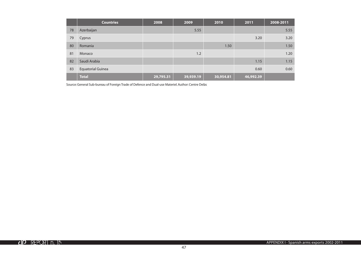|    | <b>Countries</b>         | 2008      | 2009      | 2010      | 2011      | 2008-2011 |
|----|--------------------------|-----------|-----------|-----------|-----------|-----------|
| 78 | Azerbaijan               |           | 5.55      |           |           | 5.55      |
| 79 | Cyprus                   |           |           |           | 3.20      | 3.20      |
| 80 | Romania                  |           |           | 1.50      |           | 1.50      |
| 81 | Monaco                   |           | 1.2       |           |           | 1.20      |
| 82 | Saudi Arabia             |           |           |           | 1.15      | 1.15      |
| 83 | <b>Equatorial Guinea</b> |           |           |           | 0.60      | 0.60      |
|    | <b>Total</b>             | 29,795.31 | 39,939.19 | 30,954.81 | 46,992.39 |           |

Source: General Sub-bureau of Foreign Trade of Defence and Dual-use Materiel. Author: Centre Delàs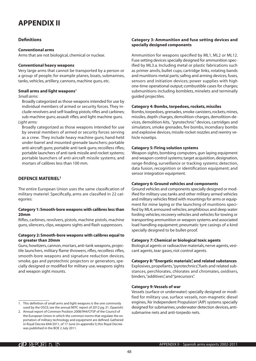## **APPENDIX II**

#### **Definitions**

#### **Conventional arms**

Arms that are not biological, chemical or nuclear.

#### **Conventional heavy weapons**

Very large arms that cannot be transported by a person or a group of people; for example planes, boats, submarines, tanks, vehicles, artillery, cannons, machine guns, etc.

#### **Small arms and light weapons1**

*Small arms:*

Broadly categorized as those weapons intended for use by individual members of armed or security forces. They include revolvers and self-loading pistols; rifles and carbines; sub-machine guns; assault rifles; and light machine guns. *Light arms:*

Broadly categorized as those weapons intended for use by several members of armed or security forces serving as a crew. They include heavy machine guns; hand-held under-barrel and mounted grenade launchers; portable anti-aircraft guns; portable anti-tank guns; recoilless rifles; portable launchers of anti-tank missile and rocket systems; portable launchers of anti-aircraft missile systems; and mortars of calibres less than 100 mm.

#### **DEFENCE MATERIEL2**

The entire European Union uses the same classification of military materiel. Specifically, arms are classified in 22 categories:

#### **Category 1: Smooth-bore weapons with calibres less than 20mm**

Rifles, carbines, revolvers, pistols, machine pistols, machine guns, silencers, clips, weapons sights and flash suppressors.

#### **Category 2: Smooth-bore weapons with calibres equal to or greater than 20mm**

Guns, howitzers, cannon, mortars, anti-tank weapons, projectile launchers, military flame throwers, rifles, recoilless rifles, smooth-bore weapons and signature reduction devices, smoke, gas and pyrotechnic projectors or generators, specially designed or modified for military use, weapons sights and weapon sight mounts.

#### **Category 3: Ammunition and fuse setting devices and specially designed components**

Ammunition for weapons specified by ML1, ML2 or ML12. Fuse setting devices specially designed for ammunition specified by ML3.a. Including metal or plastic fabrications such as primer anvils, bullet cups, cartridge links, rotating bands and munitions metal parts; safing and arming devices, fuses, sensors and initiation devices; power supplies with high one-time operational output; combustible cases for charges; submunitions including bomblets, minelets and terminally guided projectiles.

#### **Category 4: Bombs, torpedoes, rockets, missiles**

Bombs, torpedoes, grenades, smoke canisters, rockets, mines, missiles, depth charges, demolition-charges, demolition-devices, demolition-kits, "pyrotechnic" devices, cartridges and simulators, smoke grenades, fire bombs, incendiary bombs and explosive devices, missile rocket nozzles and reentry vehicle nosetips.

#### **Category 5: Firing solution systems**

Weapon sights, bombing computers, gun laying equipment and weapon control systems; target acquisition, designation, range-finding, surveillance or tracking systems; detection, data fusion, recognition or identification equipment; and sensor integration equipment.

#### **Category 6: Ground vehicles and components**

Ground vehicles and components specially designed or modified for military use; tanks and other military armed vehicles and military vehicles fitted with mountings for arms or equipment for mine laying or the launching of munitions specified by ML4; armoured vehicles; amphibious and deep water fording vehicles; recovery vehicles and vehicles for towing or transporting ammunition or weapon systems and associated load handling equipment; pneumatic tyre casings of a kind specially designed to be bullet-proof.

#### **Category 7: Chemical or biological toxic agents**

Biological agents or radioactive materials, nerve agents, vesicant agents, tear gases, riot control agents.

#### **Category 8: "Energetic materials", and related substances**

Explosives, propellants, "pyrotechnics", fuels and related substances, perchlorates, chlorates and chromates, oxidisers, binders, "additives", and "precursors".

#### **Category 9: Vessels of war**

Vessels (surface or underwater) specially designed or modified for military use, surface vessels, non-magnetic diesel engines, 'Air Independent Propulsion' (AIP) systems specially designed for submarines, underwater detection devices, antisubmarine nets and anti-torpedo nets.

<sup>1.</sup> This definition of small arms and light weapons is the one commonly used by the OSCE; see the annual MITC report of 2012 pg. 31. (Spanish)

<sup>2.</sup> Annual report of Common Position 2008/944/CFSP of the Council of the European Union in which the common norms that regulate the exportation of military technology and equipment are defined. Gathered in Royal Decree 844/2011, of 17 June (in appendix I); this Royal Decree was published in the BOE 2 July 2011.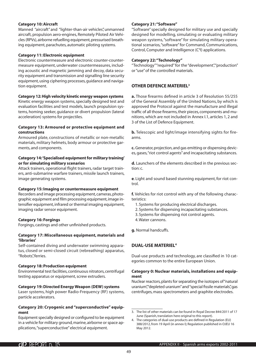#### **Category 10: Aircraft**

Manned "aircraft" and "lighter-than-air vehicles", unmanned aircraft, propulsion aero-engines, Remotely Piloted Air Vehicles (RPVs), airborne refuelling equipment, pressurised breathing equipment, parachutes, automatic piloting systems.

#### **Category 11: Electronic equipment**

Electronic countermeasure and electronic counter-countermeasure equipment, underwater countermeasures, including acoustic and magnetic jamming and decoy, data security equipment and transmission and signalling line security equipment, using ciphering processes, guidance and navigation equipment.

#### **Category 12: High velocity kinetic energy weapon systems**

Kinetic energy weapon systems, specially designed test and evaluation facilities and test models, launch propulsion systems, homing seeker, guidance or divert propulsion (lateral acceleration) systems for projectiles.

#### **Category 13: Armoured or protective equipment and constructions**

Armoured plate, constructions of metallic or non-metallic materials, military helmets, body armour or protective garments, and components.

#### **Category 14: 'Specialised equipment for military training' or for simulating military scenarios**

Attack trainers, operational flight trainers, radar target trainers, anti-submarine warfare trainers, missile launch trainers, image generating systems.

#### **Category 15: Imaging or countermeasure equipment**

Recorders and image processing equipment, cameras, photographic equipment and film processing equipment, image intensifier equipment, infrared or thermal imaging equipment, imaging radar sensor equipment.

#### **Category 16: Forgings**

Forgings, castings and other unfinished products.

#### **Category 17: Miscellaneous equipment, materials and 'libraries'**

Self-contained diving and underwater swimming apparatus, closed or semi-closed circuit (rebreathing) apparatus, "Robots", ferries.

#### **Category 18: Production equipment**

Environmental test facilities, continuous nitrators, centrifugal testing apparatus or equipment, screw extruders.

#### **Category 19: Directed Energy Weapon (DEW) systems**

Laser systems, high power Radio-Frequency (RF) systems, particle accelerators.

#### **Category 20: Cryogenic and "superconductive" equipment**

Equipment specially designed or configured to be equipment in a vehicle for military ground, marine, airborne or space applications, "superconductive" electrical equipment.

#### **Category 21: "Software"**

"Software" specially designed for military use and specially designed for modelling, simulating or evaluating military weapon systems, "software" for simulating military operational scenarios, "software" for Command, Communications, Control, Computer and Intelligence (C<sup>4</sup>I) applications.

#### **Category 22: "Technology"**

"Technology" "required" for the "development", "production" or "use" of the controlled materials.

#### **OTHER DEFENCE MATERIEL3**

**a.** Those firearms defined in article 3 of Resolution 55/255 of the General Assembly of the United Nations, by which is approved the Protocol against the manufacture and illegal traffic of all those firearms, their pieces, components and munitions, which are not included in Annex I.1, articles 1, 2 and 3 of the List of Defence Equipment.

**b.** Telescopic and light/image intensifying sights for firearms.

**c.** Generator, projection, and gas emitting or dispensing devices, gases, "riot control agents" and incapacitating substances.

**d.** Launchers of the elements described in the previous section: c.

**e**. Light and sound based stunning equipment, for riot control.

**f.** Vehicles for riot control with any of the following characteristics:

- 1. Systems for producing electrical discharges.
- 2. Systems for dispensing incapacitating substances.
- 3. Systems for dispensing riot control agents.
- 4. Water cannons.
- **g.** Normal handcuffs.

#### **DUAL-USE MATERIEL4**

Dual-use products and technology, are classified in 10 categories common to the entire European Union.

#### **Category 0: Nuclear materials, installations and equipment**

Nuclear reactors, plants for separating the isotopes of "natural uranium" depleted uranium" and "special fissile materials" gas centrifuges, mass spectrometers and graphite electrodes.

<sup>3.</sup> The list of other materials can be found in Royal Decree 844/2011 of 17 June (Spanish, translation here original to this report).

<sup>4.</sup> The categories of dual-use products are defined in Regulation (EU) 388/2012, from 19 April (in annex I); Regulation published in OJEU 16 May 2012.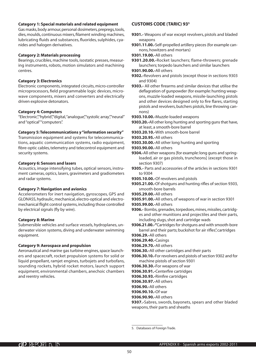#### **Category 1: Special materials and related equipment**

Gas masks, body armour, personal dosimeters, prepregs, tools, dies, moulds, continuous mixers, filament winding machines, lubricating fluids and substances, fluorides, sulphides, cyanides and halogen derivatives.

#### **Category 2: Materials processing**

Bearings, crucibles, machine tools, isostatic presses, measuring instruments, robots, motion simulators and machining centres.

#### **Category 3: Electronics**

Electronic components, integrated circuits, micro-controller microprocessors, field programmable logic devices, microwave components, mixers and converters and electrically driven explosive detonators.

#### **Category 4: Computers**

"Electronic","hybrid","digital,"analogue","systolic array","neural" and "optical" "computers".

#### **Category 5: Telecommunications y "information security"**

Transmission equipment and systems for telecommunications, aquatic communication systems, radio equipment, fibre-optic cables, telemetry and telecontrol equipment and security systems.

#### **Category 6: Sensors and lasers**

Acoustics, image intensifying tubes, optical sensors, instrument cameras, optics, lasers, gravimeters and gradiometers and radar systems.

#### **Category 7: Navigation and avionics**

Accelerometers for inert navigation, gyroscopes, GPS and GLONASS, hydraulic, mechanical, electro-optical and electromechanical flight control systems, including those controlled by electrical signals (fly by wire).

#### **Category 8: Marine**

Submersible vehicles and surface vessels, hydroplanes, underwater vision systems, diving and underwater swimming equipment.

#### **Category 9: Aerospace and propulsion**

Aeronautical and marine gas turbine engines, space launchers and spacecraft, rocket propulsion systems for solid or liquid propellant, ramiet engines, turboiets and turbofans, sounding rockets, hybrid rocket motors, launch support equipment, environmental chambers, anechoic chambers and reentry vehicles.

#### **CUSTOMS CODE (TARIC) 935**

- **9301.-** Weapons of war except revolvers, pistols and bladed weapons
- **9301.11.00.-**Self-propelled artillery pieces (for example cannons, howitzers and mortars)
- **9301.19.00.-**All others
- **9301.20.00.-**Rocket launchers; flame-throwers; grenade launchers; torpedo launchers and similar launchers
- **9301.90.00.-**All others
- **9302.-**Revolvers and pistols (except those in sections 9303 and 9304)
- **9303.-** All other firearms and similar devices that utilise the deflagration of gunpowder (for example: hunting weapons, muzzle-loaded weapons, missile-launching pistols and other devices designed only to fire flares, starting pistols and revolvers, butchers pistols, line throwing cannons)
- **9303.10.00.-**Muzzle-loaded weapons
- **9303.20.-**All other long hunting and sporting guns that have, at least, a smooth-bore barrel
- **9303.20.10.-**With smooth-bore barrel
- **9303.20.95.-**All others
- **9303.30.00.-**All other long hunting and sporting
- **9303.90.00.-**All others
- **9304.-**All other weapons [for example: long guns and springloaded, air or gas pistols, truncheons] (except those in section 9307)
- **9305.-** Parts and accessories of the articles in sections 9301 to 9304
- **9305.10.00.-**Of revolvers and pistols
- **9305.21.00.-**Of shotguns and hunting rifles of section 9303, smooth-bore barrels
- **9305.29.00.-**All others
- **9305.91.00.-**All others, of weapons of war in section 9301
- **9305.99.00.-**All others
- **9306.-** Bombs, grenades, torpedoes, mines, missiles, cartridges and other munitions and projectiles and their parts, including slugs, shot and cartridge wads
- **9306.21.00.-"**Cartridges for shotguns and with smooth-bore barrel and their parts; buckshot for air rifles", cartridges
- **9306.29.-**All others
- **9306.29.40.-**Casings
- **9306.29.70.-**All others
- **9306.30.-**All other cartridges and their parts
- **9306.30.10.-**For revolvers and pistols of section 9302 and for machine pistols of section 9301
- **9306.30.30.-**For weapons of war
- **9306.30.91.-**Centerfire cartridges
- **9306.30.93.-**Rimfire cartridges
- **9306.30.97.-**All others
- **9306.90.-**All others
- **9306.90.10.-**Of war
- **9306.90.90.-**All others
- **9307.-**Sabres, swords, bayonets, spears and other bladed weapons, their parts and sheaths

<sup>5.</sup> Databases of Foreign Trade.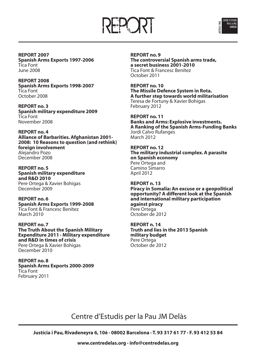



**REPORT 2007 Spanish Arms Exports 1997-2006** Tica Font June 2008

**REPORT 2008 Spanish Arms Exports 1998-2007** Tica Font October 2008

**REPORT no. 3 Spanish military expenditure 2009** Tica Font November 2008

**REPORT no. 4 Alliance of Barbarities. Afghanistan 2001- 2008: 10 Reasons to question (and rethink) foreign involvement** Alejandro Pozo December 2008

**REPORT no. 5 Spanish military expenditure and R&D 2010** Pere Ortega & Xavier Bohigas December 2009

**REPORT no. 6 Spanish Arms Exports 1999-2008** Tica Font & Francesc Benítez March 2010

**REPORT no. 7 The Truth About the Spanish Military Expenditure 2011 · Military expenditure and R&D in times of crisis** Pere Ortega & Xavier Bohigas December 2010

**REPORT no. 8 Spanish Arms Exports 2000-2009** Tica Font February 2011

**REPORT no. 9 The controversial Spanish arms trade, a secret business 2001-2010** Tica Font & Francesc Benítez October 2011

**REPORT no. 10 The Missile Defence System in Rota. A further step towards world militarisation** Teresa de Fortuny & Xavier Bohigas February 2012

**REPORT no. 11 Banks and Arms: Explosive investments. A Ranking of the Spanish Arms-Funding Banks** Jordi Calvo Rufanges March 2012

**REPORT no. 12 The military industrial complex. A parasite on Spanish economy** Pere Ortega and Camino Simarro April 2012

**REPORT n. 13 Piracy in Somalia: An excuse or a geopolitical opportunity? A different look at the Spanish and international military participation against piracy** Pere Ortega October de 2012

**REPORT n. 14 Truth and lies in the 2013 Spanish military budget** Pere Ortega October de 2012

Centre d'Estudis per la Pau JM Delàs

**Justícia i Pau, Rivadeneyra 6, 10è · 08002 Barcelona · T. 93 317 61 77 · F. 93 412 53 84**